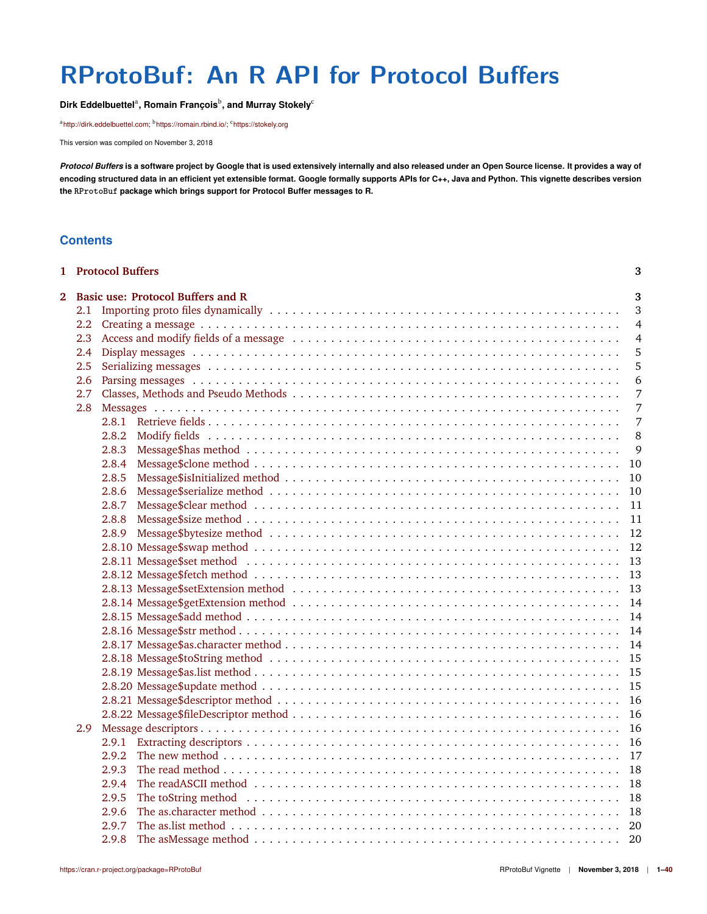# <span id="page-0-0"></span>**RProtoBuf: An R API for Protocol Buffers**

**Dirk Eddelbuettel**<sup>a</sup> **, Romain François**<sup>b</sup> **, and Murray Stokely**<sup>c</sup>

<sup>a</sup>[http://dirk.eddelbuettel.com;](http://dirk.eddelbuettel.com) <sup>b</sup>[https://romain.rbind.io/;](https://romain.rbind.io/) <sup>c</sup><https://stokely.org>

This version was compiled on November 3, 2018

*Protocol Buffers* **is a software project by Google that is used extensively internally and also released under an Open Source license. It provides a way of encoding structured data in an efficient yet extensible format. Google formally supports APIs for C++, Java and Python. This vignette describes version the RProtoBuf package which brings support for Protocol Buffer messages to R.**

# **Contents**

|            |     | 1 Protocol Buffers                       | 3              |
|------------|-----|------------------------------------------|----------------|
| $\bf{2}^-$ |     | <b>Basic use: Protocol Buffers and R</b> | 3              |
|            | 2.1 |                                          | 3              |
|            | 2.2 |                                          | $\overline{4}$ |
|            | 2.3 |                                          | $\overline{4}$ |
|            | 2.4 |                                          | 5              |
|            | 2.5 |                                          | 5              |
|            | 2.6 |                                          | 6              |
|            | 2.7 |                                          | $\overline{7}$ |
|            | 2.8 |                                          | 7              |
|            |     |                                          | 7              |
|            |     | 2.8.2                                    | 8              |
|            |     | 2.8.3                                    | 9              |
|            |     | 2.8.4                                    | 10             |
|            |     | 2.8.5                                    | 10             |
|            |     | 2.8.6                                    | 10             |
|            |     | 2.8.7                                    | 11             |
|            |     | 2.8.8                                    | 11             |
|            |     | 2.8.9                                    | 12             |
|            |     |                                          | 12             |
|            |     |                                          | 13             |
|            |     |                                          | 13             |
|            |     |                                          | 13             |
|            |     |                                          | 14             |
|            |     |                                          | 14             |
|            |     |                                          | 14             |
|            |     |                                          | 14             |
|            |     |                                          | 15             |
|            |     |                                          | 15             |
|            |     |                                          | 15             |
|            |     |                                          | 16             |
|            |     |                                          | 16             |
|            | 2.9 |                                          | 16             |
|            |     |                                          | 16             |
|            |     | 2.9.2                                    | 17             |
|            |     | 2.9.3                                    | 18             |
|            |     | 2.9.4                                    | 18             |
|            |     | 2.9.5                                    | 18             |
|            |     | 2.9.6                                    | 18             |
|            |     | 2.9.7                                    | - 20           |
|            |     | 2.9.8                                    | 20             |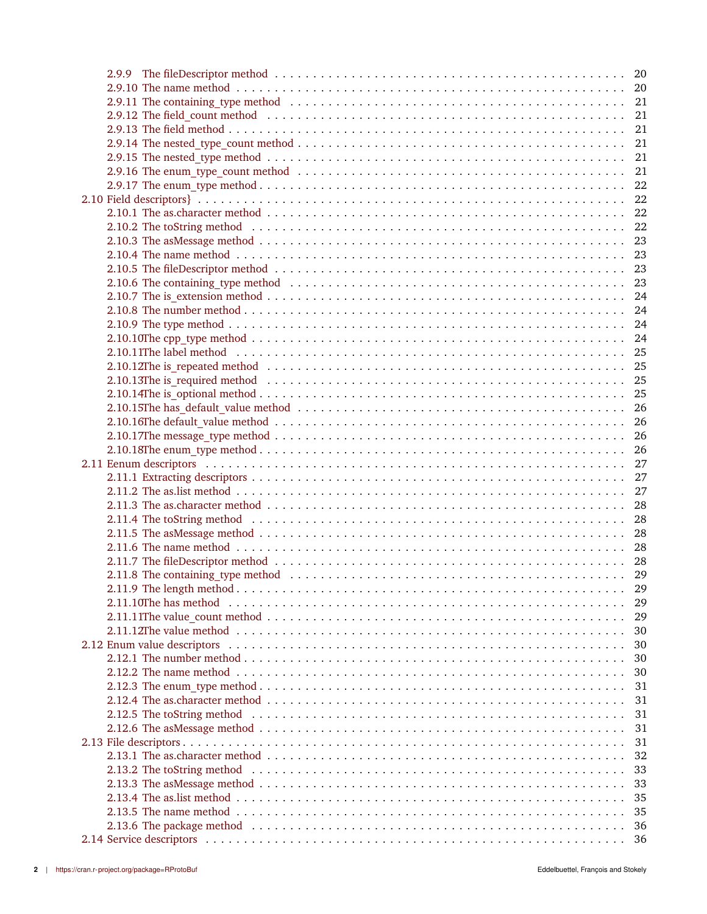| 2.9.12 The field_count method (and interesting the contract of the count of the count method (and interesting the contract of the contract of the field $21$                                                                   |          |
|--------------------------------------------------------------------------------------------------------------------------------------------------------------------------------------------------------------------------------|----------|
|                                                                                                                                                                                                                                |          |
|                                                                                                                                                                                                                                |          |
|                                                                                                                                                                                                                                |          |
|                                                                                                                                                                                                                                |          |
|                                                                                                                                                                                                                                |          |
|                                                                                                                                                                                                                                |          |
|                                                                                                                                                                                                                                |          |
|                                                                                                                                                                                                                                |          |
|                                                                                                                                                                                                                                |          |
|                                                                                                                                                                                                                                |          |
|                                                                                                                                                                                                                                |          |
|                                                                                                                                                                                                                                |          |
|                                                                                                                                                                                                                                |          |
|                                                                                                                                                                                                                                |          |
|                                                                                                                                                                                                                                |          |
|                                                                                                                                                                                                                                |          |
|                                                                                                                                                                                                                                |          |
|                                                                                                                                                                                                                                |          |
|                                                                                                                                                                                                                                |          |
|                                                                                                                                                                                                                                |          |
|                                                                                                                                                                                                                                |          |
|                                                                                                                                                                                                                                |          |
|                                                                                                                                                                                                                                |          |
|                                                                                                                                                                                                                                |          |
|                                                                                                                                                                                                                                |          |
|                                                                                                                                                                                                                                |          |
|                                                                                                                                                                                                                                |          |
|                                                                                                                                                                                                                                |          |
| 2.11.4 The toString method entertainment in the contract of the contract of the contract of the contract of the contract of the contract of the contract of the contract of the contract of the contract of the contract of th |          |
|                                                                                                                                                                                                                                |          |
|                                                                                                                                                                                                                                |          |
|                                                                                                                                                                                                                                |          |
|                                                                                                                                                                                                                                |          |
|                                                                                                                                                                                                                                | 29       |
|                                                                                                                                                                                                                                | 29       |
|                                                                                                                                                                                                                                | 29       |
|                                                                                                                                                                                                                                | 30       |
|                                                                                                                                                                                                                                | 30       |
|                                                                                                                                                                                                                                | 30       |
|                                                                                                                                                                                                                                |          |
|                                                                                                                                                                                                                                | 30<br>31 |
|                                                                                                                                                                                                                                | 31       |
|                                                                                                                                                                                                                                |          |
| 2.12.5 The toString method entertainment is not in the set of the set of the set of the set of the set of the s                                                                                                                | 31       |
|                                                                                                                                                                                                                                | 31       |
|                                                                                                                                                                                                                                | 31       |
|                                                                                                                                                                                                                                | 32       |
|                                                                                                                                                                                                                                | 33       |
|                                                                                                                                                                                                                                | 33       |
|                                                                                                                                                                                                                                | 35       |
|                                                                                                                                                                                                                                | 35       |
|                                                                                                                                                                                                                                | 36       |
|                                                                                                                                                                                                                                |          |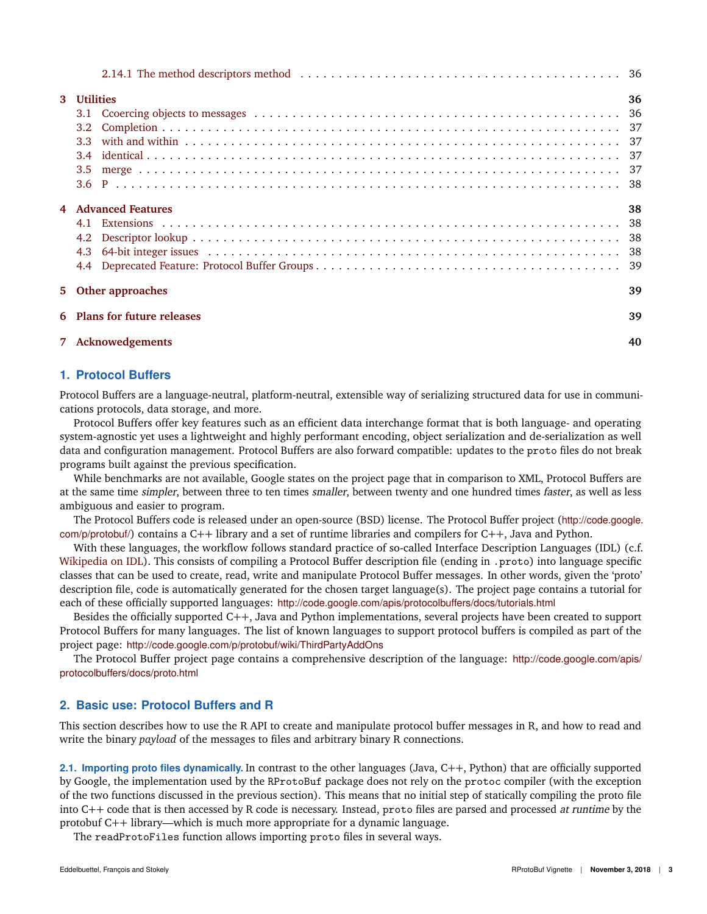| 3 Utilities                       | 36 |  |
|-----------------------------------|----|--|
|                                   |    |  |
| 3.2                               |    |  |
|                                   |    |  |
|                                   |    |  |
| 3.5                               |    |  |
|                                   |    |  |
| 4 Advanced Features               | 38 |  |
|                                   |    |  |
|                                   |    |  |
|                                   |    |  |
|                                   |    |  |
| 5 Other approaches                | 39 |  |
| 39<br>6 Plans for future releases |    |  |
| 7 Acknowedgements                 | 40 |  |

# <span id="page-2-0"></span>**1. Protocol Buffers**

Protocol Buffers are a language-neutral, platform-neutral, extensible way of serializing structured data for use in communications protocols, data storage, and more.

Protocol Buffers offer key features such as an efficient data interchange format that is both language- and operating system-agnostic yet uses a lightweight and highly performant encoding, object serialization and de-serialization as well data and configuration management. Protocol Buffers are also forward compatible: updates to the proto files do not break programs built against the previous specification.

While benchmarks are not available, Google states on the project page that in comparison to XML, Protocol Buffers are at the same time simpler, between three to ten times smaller, between twenty and one hundred times faster, as well as less ambiguous and easier to program.

The Protocol Buffers code is released under an open-source (BSD) license. The Protocol Buffer project ([http://code.google.](http://code.google.com/p/protobuf/) [com/p/protobuf/](http://code.google.com/p/protobuf/)) contains a C++ library and a set of runtime libraries and compilers for C++, Java and Python.

With these languages, the workflow follows standard practice of so-called Interface Description Languages (IDL) (c.f. [Wikipedia on IDL\)](http://en.wikipedia.org/wiki/Interface_description_language). This consists of compiling a Protocol Buffer description file (ending in .proto) into language specific classes that can be used to create, read, write and manipulate Protocol Buffer messages. In other words, given the 'proto' description file, code is automatically generated for the chosen target language(s). The project page contains a tutorial for each of these officially supported languages: <http://code.google.com/apis/protocolbuffers/docs/tutorials.html>

Besides the officially supported C++, Java and Python implementations, several projects have been created to support Protocol Buffers for many languages. The list of known languages to support protocol buffers is compiled as part of the project page: <http://code.google.com/p/protobuf/wiki/ThirdPartyAddOns>

The Protocol Buffer project page contains a comprehensive description of the language: [http://code.google.com/apis/](http://code.google.com/apis/protocolbuffers/docs/proto.html) [protocolbuffers/docs/proto.html](http://code.google.com/apis/protocolbuffers/docs/proto.html)

# <span id="page-2-1"></span>**2. Basic use: Protocol Buffers and R**

This section describes how to use the R API to create and manipulate protocol buffer messages in R, and how to read and write the binary *payload* of the messages to files and arbitrary binary R connections.

<span id="page-2-2"></span>**2.1. Importing proto files dynamically.** In contrast to the other languages (Java, C++, Python) that are officially supported by Google, the implementation used by the RProtoBuf package does not rely on the protoc compiler (with the exception of the two functions discussed in the previous section). This means that no initial step of statically compiling the proto file into C++ code that is then accessed by R code is necessary. Instead, proto files are parsed and processed at runtime by the protobuf C++ library—which is much more appropriate for a dynamic language.

The readProtoFiles function allows importing proto files in several ways.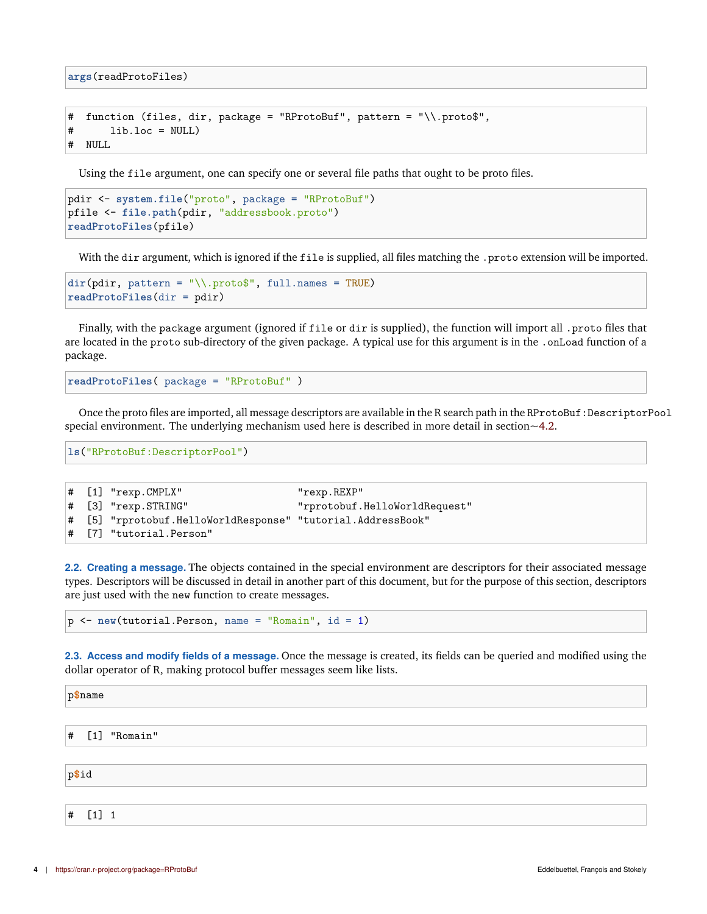**args**(readProtoFiles)

```
# function (files, dir, package = "RProtoBuf", pattern = "\\.proto$",
# lib.loc = NULL)
# NULL
```
Using the file argument, one can specify one or several file paths that ought to be proto files.

```
pdir <- system.file("proto", package = "RProtoBuf")
pfile <- file.path(pdir, "addressbook.proto")
readProtoFiles(pfile)
```
With the dir argument, which is ignored if the file is supplied, all files matching the .proto extension will be imported.

```
dir(pdir, pattern = "\Lambda, proto<sup>*</sup>, full.name = TRUE)readProtoFiles(dir = pdir)
```
Finally, with the package argument (ignored if file or dir is supplied), the function will import all .proto files that are located in the proto sub-directory of the given package. A typical use for this argument is in the .onLoad function of a package.

**readProtoFiles**( package = "RProtoBuf" )

Once the proto files are imported, all message descriptors are available in the R search path in the RProtoBuf:DescriptorPool special environment. The underlying mechanism used here is described in more detail in section  $\sim$  4.2.

**ls**("RProtoBuf:DescriptorPool")

```
# [1] "rexp.CMPLX" "rexp.REXP"
# [3] "rexp.STRING" "rprotobuf.HelloWorldRequest"
# [5] "rprotobuf.HelloWorldResponse" "tutorial.AddressBook"
# [7] "tutorial.Person"
```
<span id="page-3-0"></span>**2.2. Creating a message.** The objects contained in the special environment are descriptors for their associated message types. Descriptors will be discussed in detail in another part of this document, but for the purpose of this section, descriptors are just used with the new function to create messages.

p <- **new**(tutorial.Person, name = "Romain", id = 1)

<span id="page-3-1"></span>**2.3. Access and modify fields of a message.** Once the message is created, its fields can be queried and modified using the dollar operator of R, making protocol buffer messages seem like lists.

| p\$name        |  |  |  |  |
|----------------|--|--|--|--|
|                |  |  |  |  |
| # [1] "Romain" |  |  |  |  |
|                |  |  |  |  |
| p\$id          |  |  |  |  |
|                |  |  |  |  |

# [1] 1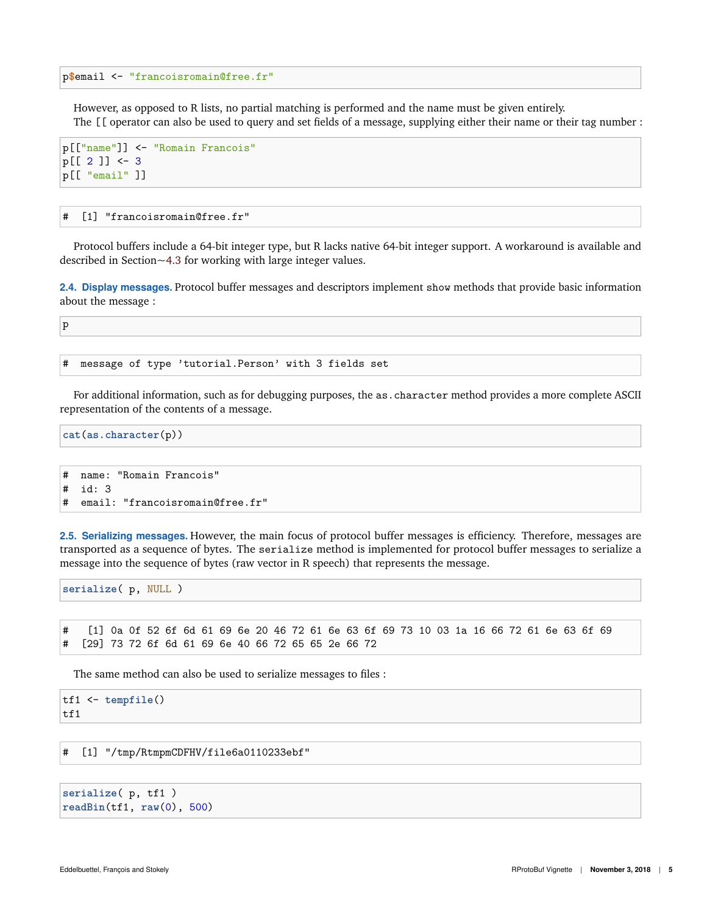p**\$**email <- "francoisromain@free.fr"

However, as opposed to R lists, no partial matching is performed and the name must be given entirely. The [[ operator can also be used to query and set fields of a message, supplying either their name or their tag number :

```
p[["name"]] <- "Romain Francois"
p[[ 2 ]] <- 3
p[[ "email" ]]
```
# [1] "francoisromain@free.fr"

Protocol buffers include a 64-bit integer type, but R lacks native 64-bit integer support. A workaround is available and described in Section[~4.3](#page-37-4) for working with large integer values.

<span id="page-4-0"></span>**2.4. Display messages.** Protocol buffer messages and descriptors implement show methods that provide basic information about the message :

p

# message of type 'tutorial.Person' with 3 fields set

For additional information, such as for debugging purposes, the as.character method provides a more complete ASCII representation of the contents of a message.

**cat**(**as.character**(p))

```
# name: "Romain Francois"
# id: 3
# email: "francoisromain@free.fr"
```
<span id="page-4-1"></span>**2.5. Serializing messages.** However, the main focus of protocol buffer messages is efficiency. Therefore, messages are transported as a sequence of bytes. The serialize method is implemented for protocol buffer messages to serialize a message into the sequence of bytes (raw vector in R speech) that represents the message.

**serialize**( p, NULL )

# [1] 0a 0f 52 6f 6d 61 69 6e 20 46 72 61 6e 63 6f 69 73 10 03 1a 16 66 72 61 6e 63 6f 69 # [29] 73 72 6f 6d 61 69 6e 40 66 72 65 65 2e 66 72

The same method can also be used to serialize messages to files :

```
tf1 <- tempfile()
tf1
```
# [1] "/tmp/RtmpmCDFHV/file6a0110233ebf"

```
serialize( p, tf1 )
readBin(tf1, raw(0), 500)
```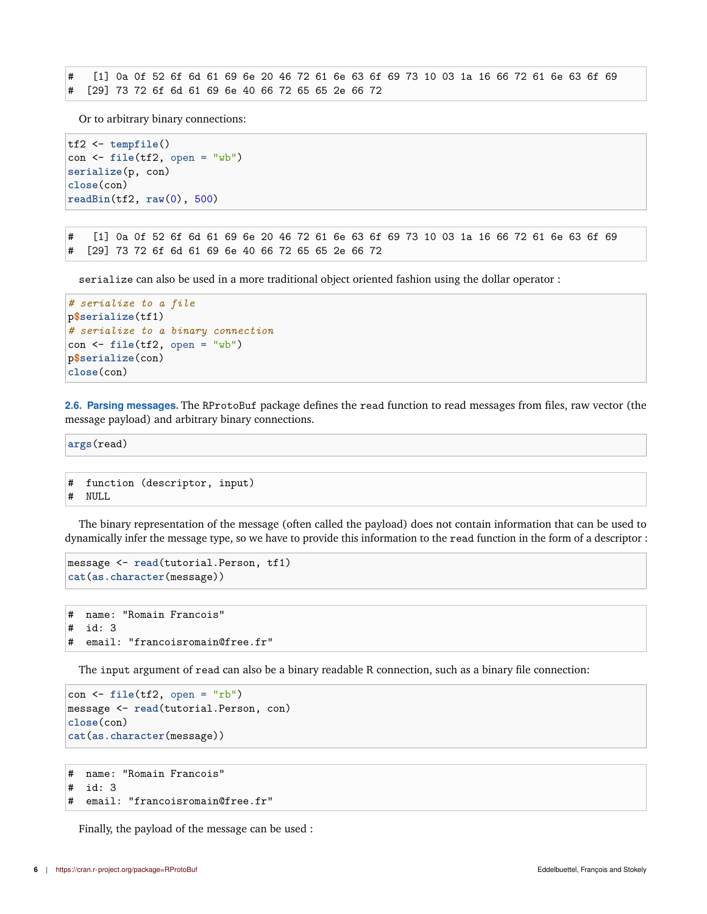# [1] 0a 0f 52 6f 6d 61 69 6e 20 46 72 61 6e 63 6f 69 73 10 03 1a 16 66 72 61 6e 63 6f 69 # [29] 73 72 6f 6d 61 69 6e 40 66 72 65 65 2e 66 72

Or to arbitrary binary connections:

```
tf2 <- tempfile()
con <- file(tf2, open = "wb")
serialize(p, con)
close(con)
readBin(tf2, raw(0), 500)
```
# [1] 0a 0f 52 6f 6d 61 69 6e 20 46 72 61 6e 63 6f 69 73 10 03 1a 16 66 72 61 6e 63 6f 69 # [29] 73 72 6f 6d 61 69 6e 40 66 72 65 65 2e 66 72

serialize can also be used in a more traditional object oriented fashion using the dollar operator :

```
# serialize to a file
p$serialize(tf1)
# serialize to a binary connection
con <- file(tf2, open = "wb")
p$serialize(con)
close(con)
```
<span id="page-5-0"></span>**2.6. Parsing messages.** The RProtoBuf package defines the read function to read messages from files, raw vector (the message payload) and arbitrary binary connections.

**args**(read)

```
# function (descriptor, input)
# NULL
```
The binary representation of the message (often called the payload) does not contain information that can be used to dynamically infer the message type, so we have to provide this information to the read function in the form of a descriptor :

```
message <- read(tutorial.Person, tf1)
cat(as.character(message))
```

```
# name: "Romain Francois"
# id: 3
# email: "francoisromain@free.fr"
```
The input argument of read can also be a binary readable R connection, such as a binary file connection:

```
con <- file(tf2, open = "rb")
message <- read(tutorial.Person, con)
close(con)
cat(as.character(message))
```

```
# name: "Romain Francois"
# id: 3
# email: "francoisromain@free.fr"
```
Finally, the payload of the message can be used :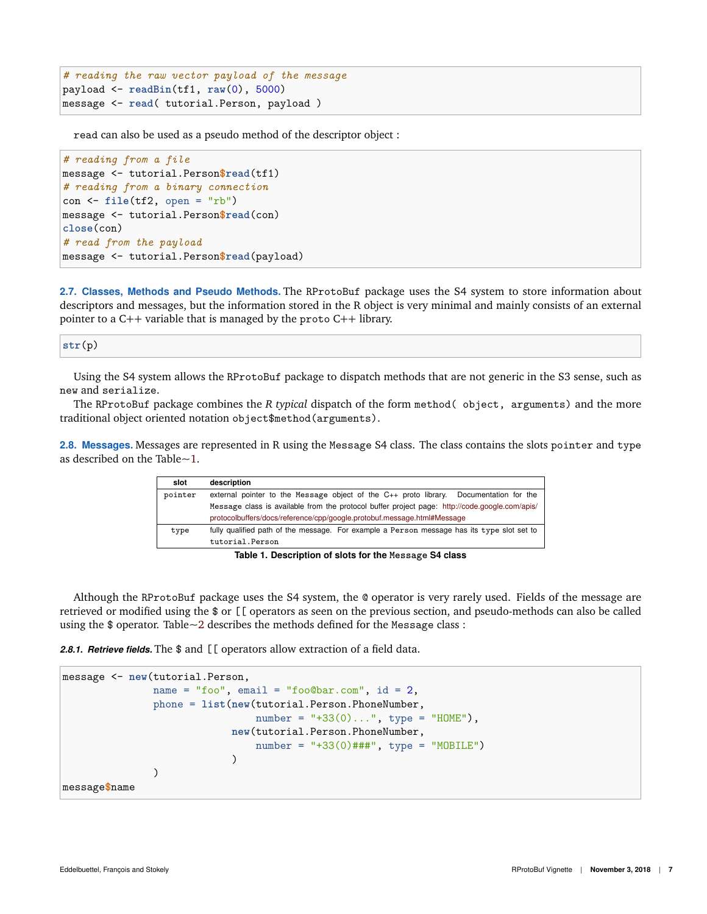```
# reading the raw vector payload of the message
payload <- readBin(tf1, raw(0), 5000)
message <- read( tutorial.Person, payload )
```
read can also be used as a pseudo method of the descriptor object :

```
# reading from a file
message <- tutorial.Person$read(tf1)
# reading from a binary connection
con <- file(tf2, open = "rb")
message <- tutorial.Person$read(con)
close(con)
# read from the payload
message <- tutorial.Person$read(payload)
```
<span id="page-6-0"></span>**2.7. Classes, Methods and Pseudo Methods.** The RProtoBuf package uses the S4 system to store information about descriptors and messages, but the information stored in the R object is very minimal and mainly consists of an external pointer to a C++ variable that is managed by the proto C++ library.

**str**(p)

Using the S4 system allows the RProtoBuf package to dispatch methods that are not generic in the S3 sense, such as new and serialize.

The RProtoBuf package combines the *R typical* dispatch of the form method( object, arguments) and the more traditional object oriented notation object\$method(arguments).

<span id="page-6-3"></span><span id="page-6-1"></span>**2.8. Messages.** Messages are represented in R using the Message S4 class. The class contains the slots pointer and type as described on the Table[~1.](#page-6-3)

| slot    | description                                                                                    |  |  |
|---------|------------------------------------------------------------------------------------------------|--|--|
| pointer | external pointer to the Message object of the $C_{++}$ proto library. Documentation for the    |  |  |
|         | Message class is available from the protocol buffer project page: http://code.google.com/apis/ |  |  |
|         | protocolbuffers/docs/reference/cpp/google.protobuf.message.html#Message                        |  |  |
| type    | fully qualified path of the message. For example a Person message has its type slot set to     |  |  |
|         | tutorial.Person                                                                                |  |  |

**Table 1. Description of slots for the Message S4 class**

Although the RProtoBuf package uses the S4 system, the @ operator is very rarely used. Fields of the message are retrieved or modified using the \$ or [[ operators as seen on the previous section, and pseudo-methods can also be called using the  $\phi$  operator. Table $\sim$ 2 describes the methods defined for the Message class:

<span id="page-6-2"></span>2.8.1. Retrieve fields. The \$ and [[ operators allow extraction of a field data.

```
message <- new(tutorial.Person,
               name = "foo", email = "foo@bar.com", id = 2,
               phone = list(new(tutorial.Person.PhoneNumber,
                                 number = "+33(0)...", type = "HOME"),
                             new(tutorial.Person.PhoneNumber,
                                 number = "+33(0)*##", type = "MOBILE")
                             )
               \lambdamessage$name
```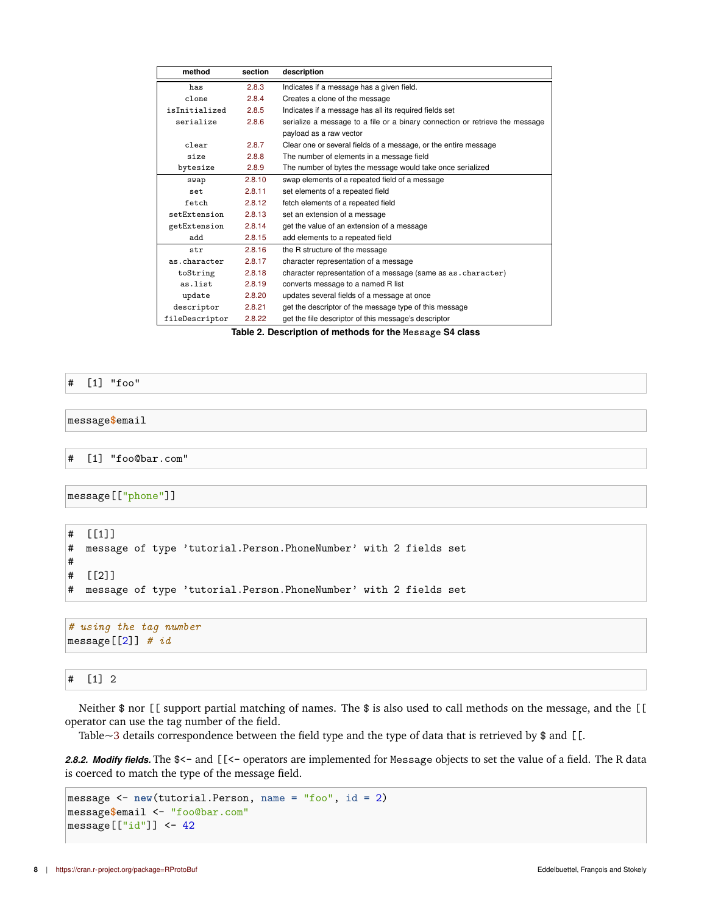<span id="page-7-1"></span>

| method         | section | description                                                                  |
|----------------|---------|------------------------------------------------------------------------------|
| has            | 2.8.3   | Indicates if a message has a given field.                                    |
| clone          | 2.8.4   | Creates a clone of the message                                               |
| isInitialized  | 2.8.5   | Indicates if a message has all its required fields set                       |
| serialize      | 2.8.6   | serialize a message to a file or a binary connection or retrieve the message |
|                |         | payload as a raw vector                                                      |
| clear          | 2.8.7   | Clear one or several fields of a message, or the entire message              |
| size           | 2.8.8   | The number of elements in a message field                                    |
| bytesize       | 2.8.9   | The number of bytes the message would take once serialized                   |
| swap           | 2.8.10  | swap elements of a repeated field of a message                               |
| set            | 2.8.11  | set elements of a repeated field                                             |
| fetch          | 2.8.12  | fetch elements of a repeated field                                           |
| setExtension   | 2.8.13  | set an extension of a message                                                |
| getExtension   | 2.8.14  | get the value of an extension of a message                                   |
| add            | 2.8.15  | add elements to a repeated field                                             |
| str            | 2.8.16  | the R structure of the message                                               |
| as.character   | 2.8.17  | character representation of a message                                        |
| toString       | 2.8.18  | character representation of a message (same as as. character)                |
| as.list        | 2.8.19  | converts message to a named R list                                           |
| update         | 2.8.20  | updates several fields of a message at once                                  |
| descriptor     | 2.8.21  | get the descriptor of the message type of this message                       |
| fileDescriptor | 2.8.22  | get the file descriptor of this message's descriptor                         |

**Table 2. Description of methods for the Message S4 class**

#### # [1] "foo"

#### message**\$**email

# [1] "foo@bar.com"

message[["phone"]]

```
# [[1]]
# message of type 'tutorial.Person.PhoneNumber' with 2 fields set
#
# [[2]]
# message of type 'tutorial.Person.PhoneNumber' with 2 fields set
```
*# using the tag number* message[[2]] *# id*

# # [1] 2

Neither  $\$$  nor [[ support partial matching of names. The  $\$$  is also used to call methods on the message, and the [[ operator can use the tag number of the field.

Table[~3](#page-8-1) details correspondence between the field type and the type of data that is retrieved by \$ and [[.

<span id="page-7-0"></span>*2.8.2. Modify fields.* The \$<- and [[<- operators are implemented for Message objects to set the value of a field. The R data is coerced to match the type of the message field.

```
message <- new(tutorial.Person, name = "foo", id = 2)
message$email <- "foo@bar.com"
message[["id"]] <- 42
```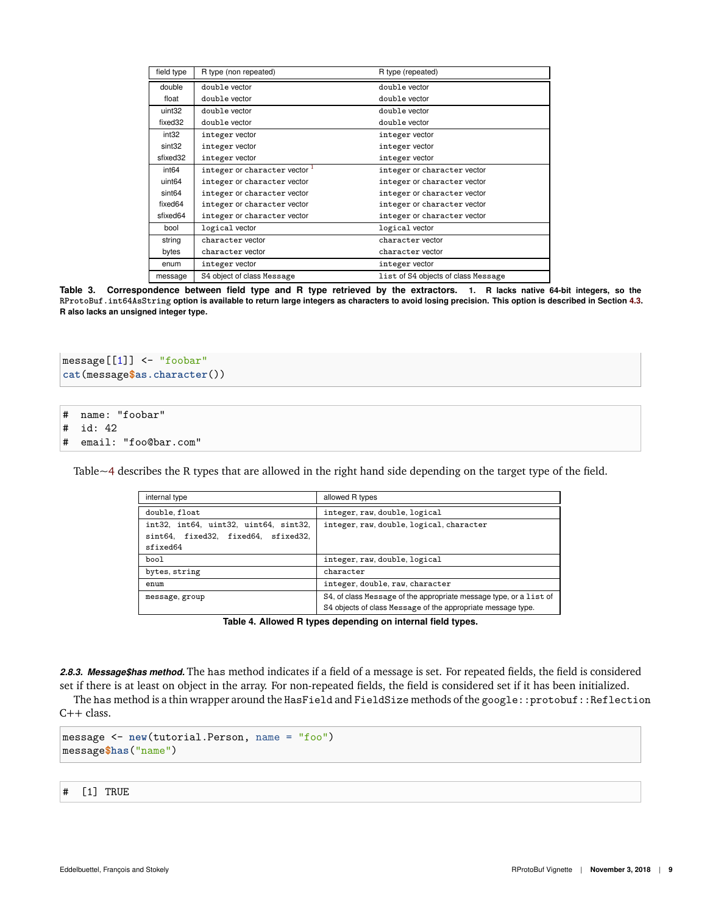<span id="page-8-1"></span>

| field type                                                     | R type (non repeated)       | R type (repeated)                   |
|----------------------------------------------------------------|-----------------------------|-------------------------------------|
| double                                                         | double vector               | double vector                       |
| float                                                          | double vector               | double vector                       |
| uint32                                                         | double vector               | double vector                       |
| fixed32                                                        | double vector               | double vector                       |
| int <sub>32</sub>                                              | integer vector              | integer vector                      |
| sint32                                                         | integer vector              | integer vector                      |
| sfixed32                                                       | integer vector              | integer vector                      |
| integer or character vector $\frac{1}{1}$<br>int <sub>64</sub> |                             | integer or character vector         |
| uint <sub>64</sub>                                             | integer or character vector | integer or character vector         |
| sint <sub>64</sub>                                             | integer or character vector | integer or character vector         |
| fixed64                                                        | integer or character vector | integer or character vector         |
| sfixed64                                                       | integer or character vector | integer or character vector         |
| bool                                                           | logical vector              | logical vector                      |
| string                                                         | character vector            | character vector                    |
| bytes                                                          | character vector            | character vector                    |
| enum                                                           | integer vector              | integer vector                      |
| message                                                        | S4 object of class Message  | list of S4 objects of class Message |

**Table 3. Correspondence between field type and R type retrieved by the extractors. 1. R lacks native 64-bit integers, so the RProtoBuf.int64AsString option is available to return large integers as characters to avoid losing precision. This option is described in Section [4.3.](#page-37-4) R also lacks an unsigned integer type.**

```
message[[1]] <- "foobar"
cat(message$as.character())
```

```
# name: "foobar"
```

```
# id: 42
```

```
# email: "foo@bar.com"
```
<span id="page-8-2"></span>Table[~4](#page-8-2) describes the R types that are allowed in the right hand side depending on the target type of the field.

| internal type                         | allowed R types                                                    |
|---------------------------------------|--------------------------------------------------------------------|
| double, float                         | integer, raw, double, logical                                      |
| int32, int64, uint32, uint64, sint32, | integer, raw, double, logical, character                           |
| sint64, fixed32, fixed64, sfixed32,   |                                                                    |
| sfixed64                              |                                                                    |
| bool                                  | integer, raw, double, logical                                      |
| bytes, string                         | character                                                          |
| enum                                  | integer, double, raw, character                                    |
| message, group                        | S4, of class Message of the appropriate message type, or a list of |
|                                       | S4 objects of class Message of the appropriate message type.       |

**Table 4. Allowed R types depending on internal field types.**

<span id="page-8-0"></span>*2.8.3. Message\$has method.* The has method indicates if a field of a message is set. For repeated fields, the field is considered set if there is at least on object in the array. For non-repeated fields, the field is considered set if it has been initialized.

The has method is a thin wrapper around the HasField and FieldSize methods of the google::protobuf::Reflection  $C++$  class.

```
message <- new(tutorial.Person, name = "foo")
message$has("name")
```
# [1] TRUE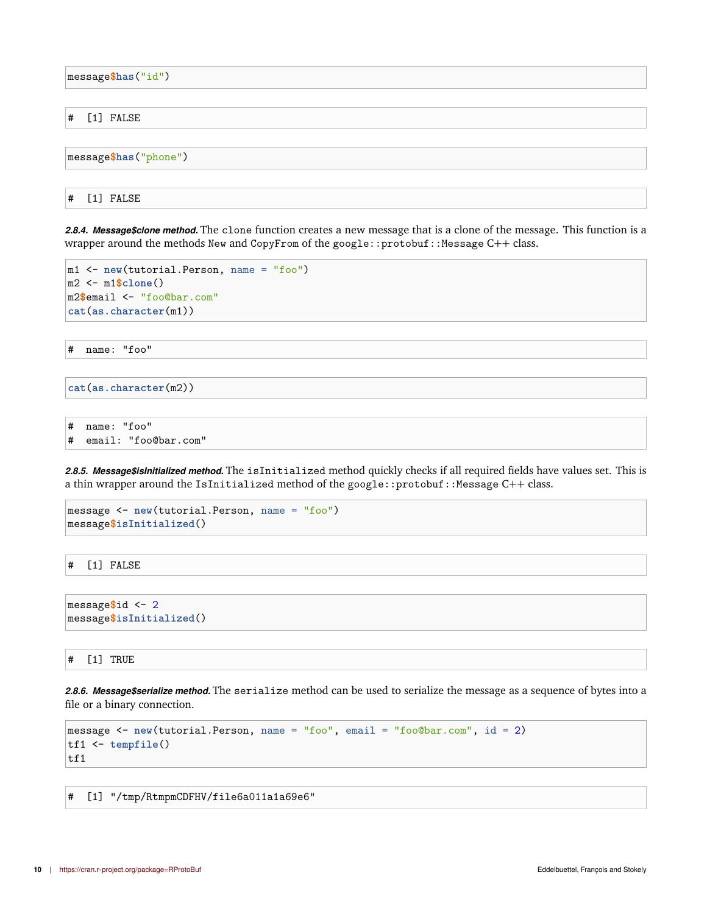message**\$has**("id")

# [1] FALSE

message**\$has**("phone")

# [1] FALSE

<span id="page-9-0"></span>*2.8.4. Message\$clone method.* The clone function creates a new message that is a clone of the message. This function is a wrapper around the methods New and CopyFrom of the google::protobuf::Message C++ class.

```
m1 <- new(tutorial.Person, name = "foo")
m2 <- m1$clone()
m2$email <- "foo@bar.com"
cat(as.character(m1))
```
# name: "foo"

```
cat(as.character(m2))
```

```
# name: "foo"
# email: "foo@bar.com"
```
<span id="page-9-1"></span>*2.8.5. Message\$isInitialized method.* The isInitialized method quickly checks if all required fields have values set. This is a thin wrapper around the IsInitialized method of the google::protobuf::Message C++ class.

```
message <- new(tutorial.Person, name = "foo")
message$isInitialized()
```
# [1] FALSE

```
message$id <- 2
message$isInitialized()
```
# [1] TRUE

<span id="page-9-2"></span>*2.8.6. Message\$serialize method.* The serialize method can be used to serialize the message as a sequence of bytes into a file or a binary connection.

```
message <- new(tutorial.Person, name = "foo", email = "foo@bar.com", id = 2)
tf1 <- tempfile()
tf1
```
# [1] "/tmp/RtmpmCDFHV/file6a011a1a69e6"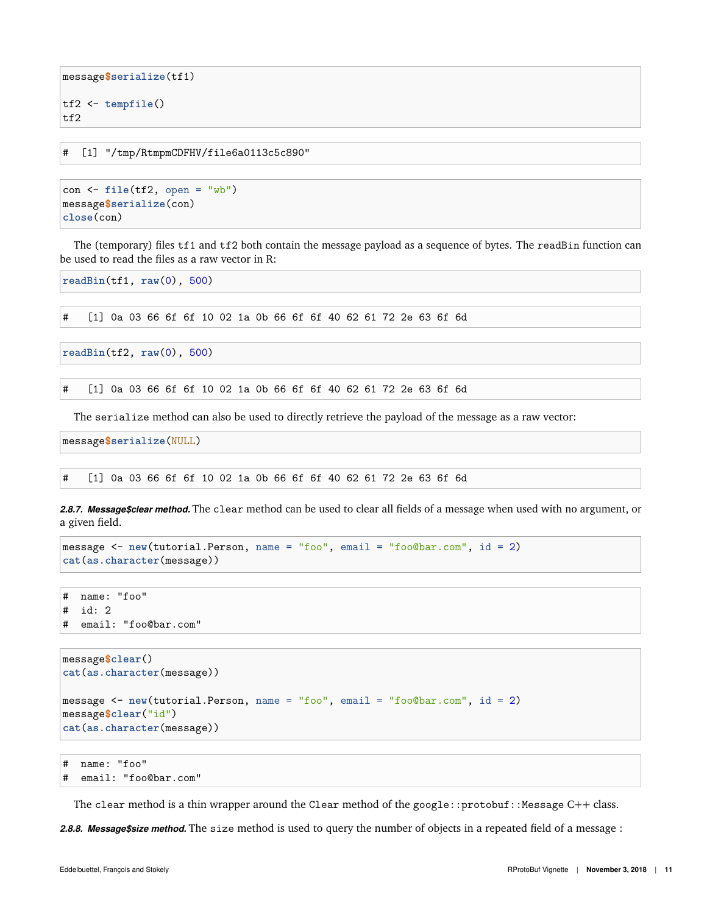```
message$serialize(tf1)
tf2 <- tempfile()
tf2
```
# [1] "/tmp/RtmpmCDFHV/file6a0113c5c890"

```
con <- file(tf2, open = "wb")
message$serialize(con)
close(con)
```
The (temporary) files tf1 and tf2 both contain the message payload as a sequence of bytes. The readBin function can be used to read the files as a raw vector in R:

**readBin**(tf1, **raw**(0), 500)

# [1] 0a 03 66 6f 6f 10 02 1a 0b 66 6f 6f 40 62 61 72 2e 63 6f 6d

```
readBin(tf2, raw(0), 500)
```
# [1] 0a 03 66 6f 6f 10 02 1a 0b 66 6f 6f 40 62 61 72 2e 63 6f 6d

The serialize method can also be used to directly retrieve the payload of the message as a raw vector:

message**\$serialize**(NULL)

# [1] 0a 03 66 6f 6f 10 02 1a 0b 66 6f 6f 40 62 61 72 2e 63 6f 6d

<span id="page-10-0"></span>*2.8.7. Message\$clear method.* The clear method can be used to clear all fields of a message when used with no argument, or a given field.

```
message <- new(tutorial.Person, name = "foo", email = "foo@bar.com", id = 2)
cat(as.character(message))
```

```
# name: "foo"
# id: 2
# email: "foo@bar.com"
```

```
message$clear()
cat(as.character(message))
message <- new(tutorial.Person, name = "foo", email = "foo@bar.com", id = 2)
message$clear("id")
cat(as.character(message))
```
# name: "foo" # email: "foo@bar.com"

The clear method is a thin wrapper around the Clear method of the google::protobuf::Message  $C++$  class.

<span id="page-10-1"></span>*2.8.8. Message\$size method.* The size method is used to query the number of objects in a repeated field of a message :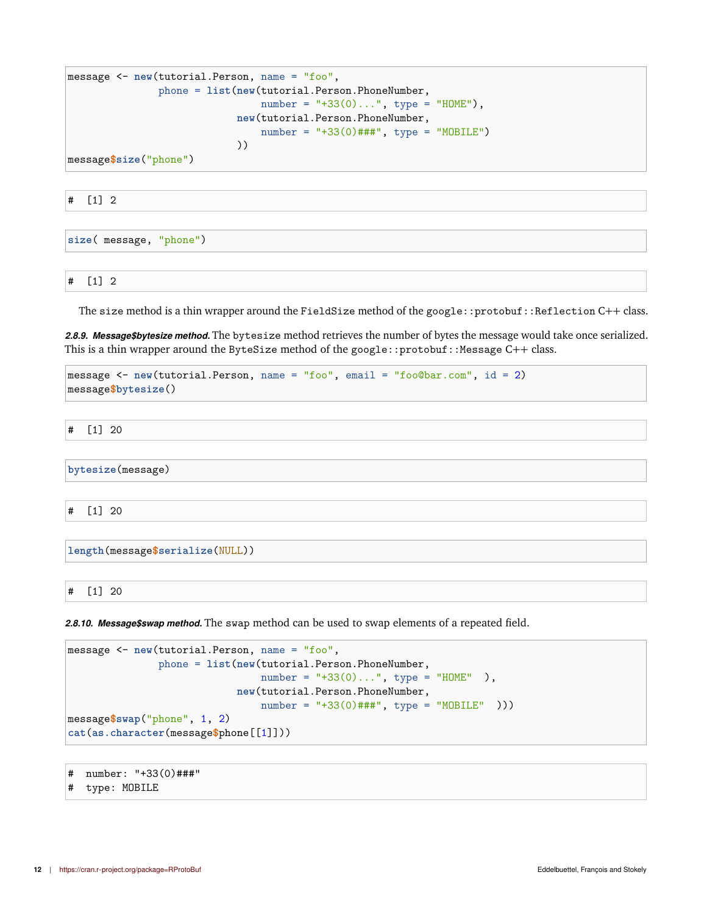```
message <- new(tutorial.Person, name = "foo",
               phone = list(new(tutorial.Person.PhoneNumber,
                                number = "+33(0)...", type = "HOME"),
                            new(tutorial.Person.PhoneNumber,
                                number = "+33(0)*## ", type = "MOBILE")
                            ))
```
message**\$size**("phone")

# [1] 2

**size**( message, "phone")

# [1] 2

The size method is a thin wrapper around the FieldSize method of the google::protobuf::Reflection C++ class.

<span id="page-11-0"></span>*2.8.9. Message\$bytesize method.* The bytesize method retrieves the number of bytes the message would take once serialized. This is a thin wrapper around the ByteSize method of the google::protobuf::Message  $C++$  class.

```
message <- new(tutorial.Person, name = "foo", email = "foo@bar.com", id = 2)
message$bytesize()
```
# [1] 20

**bytesize**(message)

# [1] 20

**length**(message**\$serialize**(NULL))

# [1] 20

<span id="page-11-1"></span>*2.8.10. Message\$swap method.* The swap method can be used to swap elements of a repeated field.

```
message <- new(tutorial.Person, name = "foo",
               phone = list(new(tutorial.Person.PhoneNumber,
                                number =</sup>"+33(0)...", type = "HOME" ),
                            new(tutorial.Person.PhoneNumber,
                                 number = "+33(0)###", type = "MOBILE" )))
message$swap("phone", 1, 2)
cat(as.character(message$phone[[1]]))
```

```
# number: "+33(0)###"
```
# type: MOBILE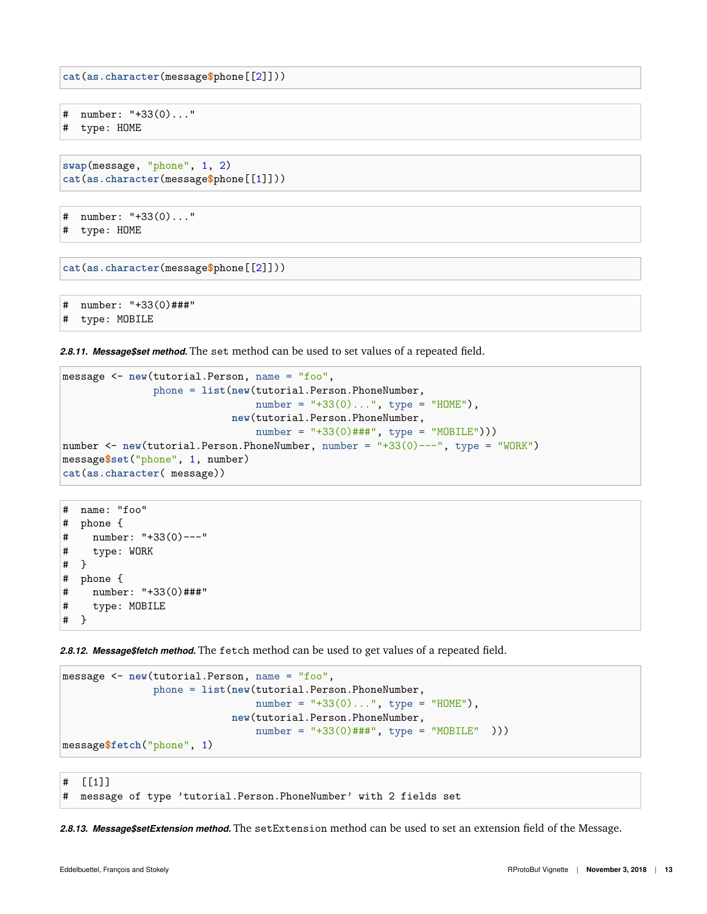**cat**(**as.character**(message**\$**phone[[2]]))

```
# number: "+33(0)..."
```
# type: HOME

```
swap(message, "phone", 1, 2)
cat(as.character(message$phone[[1]]))
```

```
# number: "+33(0)..."
# type: HOME
```

```
cat(as.character(message$phone[[2]]))
```

```
# number: "+33(0)###"
# type: MOBILE
```
<span id="page-12-0"></span>*2.8.11. Message\$set method.* The set method can be used to set values of a repeated field.

```
message <- new(tutorial.Person, name = "foo",
               phone = list(new(tutorial.Person.PhoneNumber,
                                number = "+33(0)...", type = "HOME"),
                            new(tutorial.Person.PhoneNumber,
                                number = "+33(0)###", type = "MOBILE")))
number <- new(tutorial.Person.PhoneNumber, number = "+33(0)---", type = "WORK")
message$set("phone", 1, number)
cat(as.character( message))
```

```
# name: "foo"
# phone {
# number: "+33(0)---"
# type: WORK
# }
# phone {
# number: "+33(0)###"
# type: MOBILE
# }
```
<span id="page-12-1"></span>*2.8.12. Message\$fetch method.* The fetch method can be used to get values of a repeated field.

```
message <- new(tutorial.Person, name = "foo",
               phone = list(new(tutorial.Person.PhoneNumber,
                                number = "+33(0)...", type = "HOME"),
                            new(tutorial.Person.PhoneNumber,
                                number = "+33(0)###", type = "MOBILE" )))
message$fetch("phone", 1)
```
# [[1]] # message of type 'tutorial.Person.PhoneNumber' with 2 fields set

<span id="page-12-2"></span>*2.8.13. Message\$setExtension method.* The setExtension method can be used to set an extension field of the Message.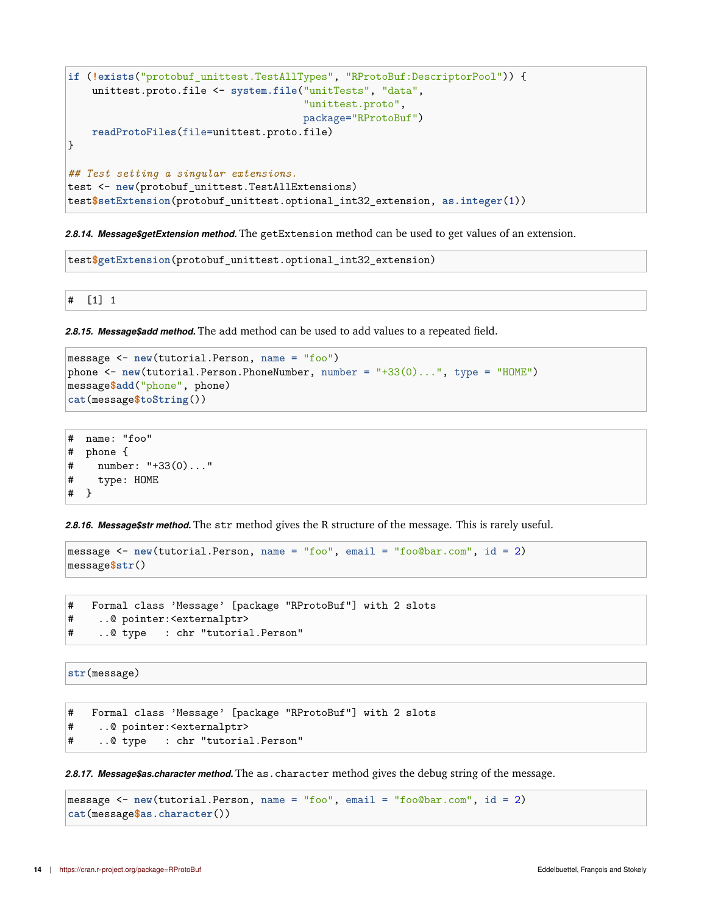```
if (!exists("protobuf_unittest.TestAllTypes", "RProtoBuf:DescriptorPool")) {
    unittest.proto.file <- system.file("unitTests", "data",
                                       "unittest.proto",
                                       package="RProtoBuf")
   readProtoFiles(file=unittest.proto.file)
}
## Test setting a singular extensions.
test <- new(protobuf_unittest.TestAllExtensions)
test$setExtension(protobuf_unittest.optional_int32_extension, as.integer(1))
```
<span id="page-13-0"></span>*2.8.14. Message\$getExtension method.* The getExtension method can be used to get values of an extension.

test**\$getExtension**(protobuf\_unittest.optional\_int32\_extension)

# [1] 1

<span id="page-13-1"></span>*2.8.15. Message\$add method.* The add method can be used to add values to a repeated field.

```
message <- new(tutorial.Person, name = "foo")
phone <- new(tutorial.Person.PhoneNumber, number = "+33(0)...", type = "HOME")
message$add("phone", phone)
cat(message$toString())
```

```
# name: "foo"
# phone {
# number: "+33(0)..."
# type: HOME
# }
```
<span id="page-13-2"></span>*2.8.16. Message\$str method.* The str method gives the R structure of the message. This is rarely useful.

```
message <- new(tutorial.Person, name = "foo", email = "foo@bar.com", id = 2)
message$str()
```

```
# Formal class 'Message' [package "RProtoBuf"] with 2 slots
# ..@ pointer:<externalptr>
# ..@ type : chr "tutorial.Person"
```
**str**(message)

```
# Formal class 'Message' [package "RProtoBuf"] with 2 slots
# ..@ pointer:<externalptr>
# ..@ type : chr "tutorial.Person"
```
<span id="page-13-3"></span>*2.8.17. Message\$as.character method.* The as.character method gives the debug string of the message.

```
message <- new(tutorial.Person, name = "foo", email = "foo@bar.com", id = 2)
cat(message$as.character())
```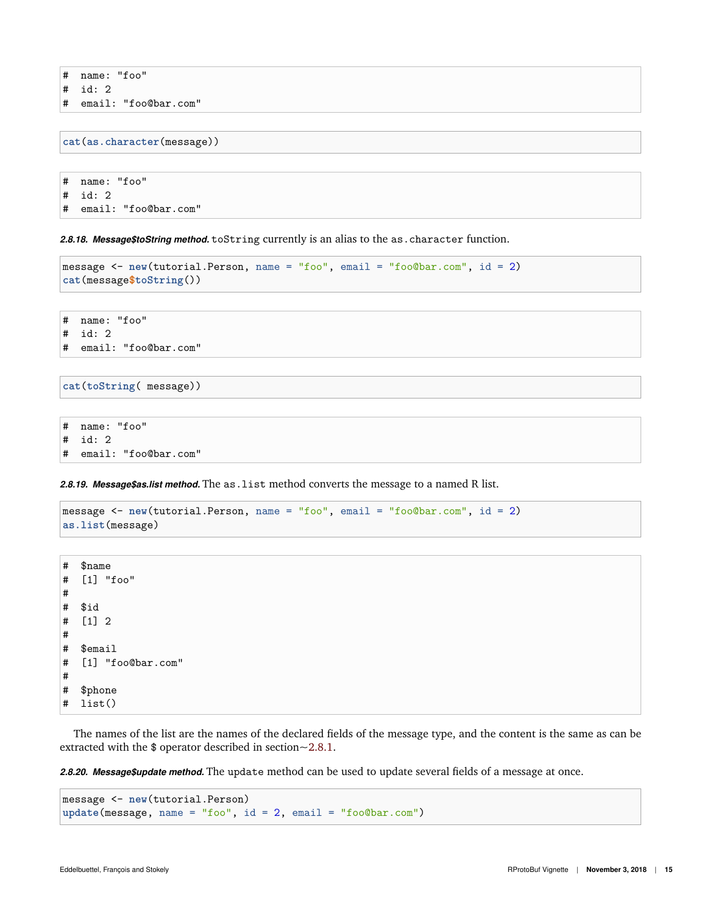- # name: "foo"
- # id: 2
- # email: "foo@bar.com"

**cat**(**as.character**(message))

# name: "foo" # id: 2 # email: "foo@bar.com"

<span id="page-14-0"></span>*2.8.18. Message\$toString method.* toString currently is an alias to the as.character function.

```
message <- new(tutorial.Person, name = "foo", email = "foo@bar.com", id = 2)
cat(message$toString())
```
# name: "foo" # id: 2 # email: "foo@bar.com"

**cat**(**toString**( message))

# name: "foo" # id: 2 # email: "foo@bar.com"

<span id="page-14-1"></span>2.8.19. Message\$as.list method. The as. list method converts the message to a named R list.

```
message <- new(tutorial.Person, name = "foo", email = "foo@bar.com", id = 2)
as.list(message)
```
# \$name # [1] "foo" # # \$id # [1] 2 # # \$email # [1] "foo@bar.com" # # \$phone # list()

The names of the list are the names of the declared fields of the message type, and the content is the same as can be extracted with the \$ operator described in section[~2.8.1.](#page-6-2)

<span id="page-14-2"></span>*2.8.20. Message\$update method.* The update method can be used to update several fields of a message at once.

```
message <- new(tutorial.Person)
update(message, name = "foo", id = 2, email = "foo@bar.com")
```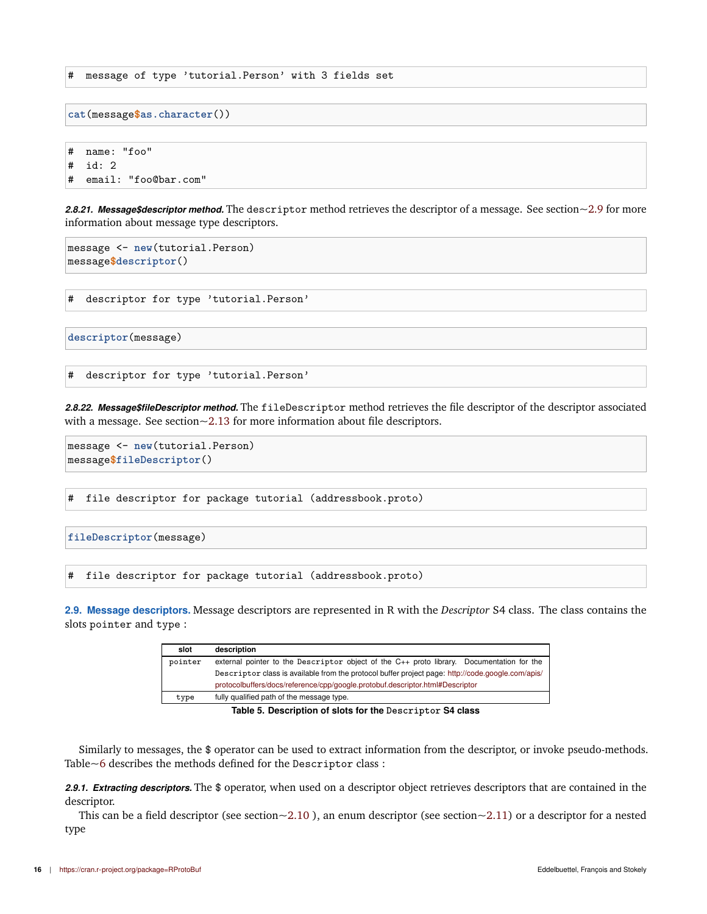# message of type 'tutorial.Person' with 3 fields set

**cat**(message**\$as.character**())

# name: "foo" # id: 2 # email: "foo@bar.com"

<span id="page-15-0"></span>*2.8.21. Message\$descriptor method.* The descriptor method retrieves the descriptor of a message. See section[~2.9](#page-15-2) for more information about message type descriptors.

```
message <- new(tutorial.Person)
message$descriptor()
```
# descriptor for type 'tutorial.Person'

**descriptor**(message)

# descriptor for type 'tutorial.Person'

<span id="page-15-1"></span>*2.8.22. Message\$fileDescriptor method.* The fileDescriptor method retrieves the file descriptor of the descriptor associated with a message. See section[~2.13](#page-30-4) for more information about file descriptors.

```
message <- new(tutorial.Person)
message$fileDescriptor()
```
# file descriptor for package tutorial (addressbook.proto)

```
fileDescriptor(message)
```
# file descriptor for package tutorial (addressbook.proto)

<span id="page-15-2"></span>**2.9. Message descriptors.** Message descriptors are represented in R with the *Descriptor* S4 class. The class contains the slots pointer and type :

| slot    | description                                                                                       |
|---------|---------------------------------------------------------------------------------------------------|
| pointer | external pointer to the Descriptor object of the C++ proto library. Documentation for the         |
|         | Descriptor class is available from the protocol buffer project page: http://code.google.com/apis/ |
|         | protocolbuffers/docs/reference/cpp/google.protobuf.descriptor.html#Descriptor                     |
| type    | fully qualified path of the message type.                                                         |

**Table 5. Description of slots for the Descriptor S4 class**

Similarly to messages, the \$ operator can be used to extract information from the descriptor, or invoke pseudo-methods. Table[~6](#page-16-1) describes the methods defined for the Descriptor class :

<span id="page-15-3"></span>*2.9.1. Extracting descriptors.* The \$ operator, when used on a descriptor object retrieves descriptors that are contained in the descriptor.

This can be a field descriptor (see section $\sim$ 2.10), an enum descriptor (see section $\sim$ 2.11) or a descriptor for a nested type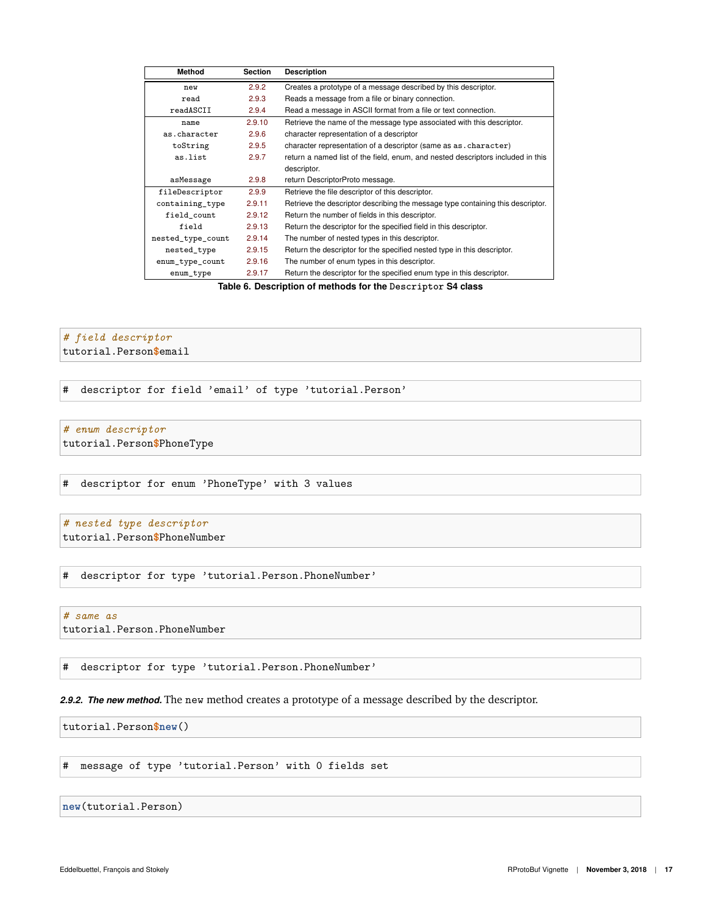<span id="page-16-1"></span>

| <b>Method</b>     | <b>Section</b> | <b>Description</b>                                                              |
|-------------------|----------------|---------------------------------------------------------------------------------|
| new               | 2.9.2          | Creates a prototype of a message described by this descriptor.                  |
| read              | 2.9.3          | Reads a message from a file or binary connection.                               |
| readASCII         | 2.9.4          | Read a message in ASCII format from a file or text connection.                  |
| name              | 2.9.10         | Retrieve the name of the message type associated with this descriptor.          |
| as.character      | 2.9.6          | character representation of a descriptor                                        |
| toString          | 2.9.5          | character representation of a descriptor (same as as . character)               |
| as.list           | 2.9.7          | return a named list of the field, enum, and nested descriptors included in this |
|                   |                | descriptor.                                                                     |
| asMessage         | 2.9.8          | return DescriptorProto message.                                                 |
| fileDescriptor    | 2.9.9          | Retrieve the file descriptor of this descriptor.                                |
| containing_type   | 2.9.11         | Retrieve the descriptor describing the message type containing this descriptor. |
| field count       | 2.9.12         | Return the number of fields in this descriptor.                                 |
| field             | 2.9.13         | Return the descriptor for the specified field in this descriptor.               |
| nested_type_count | 2.9.14         | The number of nested types in this descriptor.                                  |
| nested_type       | 2.9.15         | Return the descriptor for the specified nested type in this descriptor.         |
| enum_type_count   | 2.9.16         | The number of enum types in this descriptor.                                    |
| enum_type         | 2.9.17         | Return the descriptor for the specified enum type in this descriptor.           |

**Table 6. Description of methods for the Descriptor S4 class**

# *# field descriptor*

tutorial.Person**\$**email

# descriptor for field 'email' of type 'tutorial.Person'

#### *# enum descriptor*

tutorial.Person**\$**PhoneType

# descriptor for enum 'PhoneType' with 3 values

# *# nested type descriptor* tutorial.Person**\$**PhoneNumber

# descriptor for type 'tutorial.Person.PhoneNumber'

# *# same as* tutorial.Person.PhoneNumber

# descriptor for type 'tutorial.Person.PhoneNumber'

### <span id="page-16-0"></span>*2.9.2. The new method.* The new method creates a prototype of a message described by the descriptor.

tutorial.Person**\$new**()

# message of type 'tutorial.Person' with 0 fields set

#### **new**(tutorial.Person)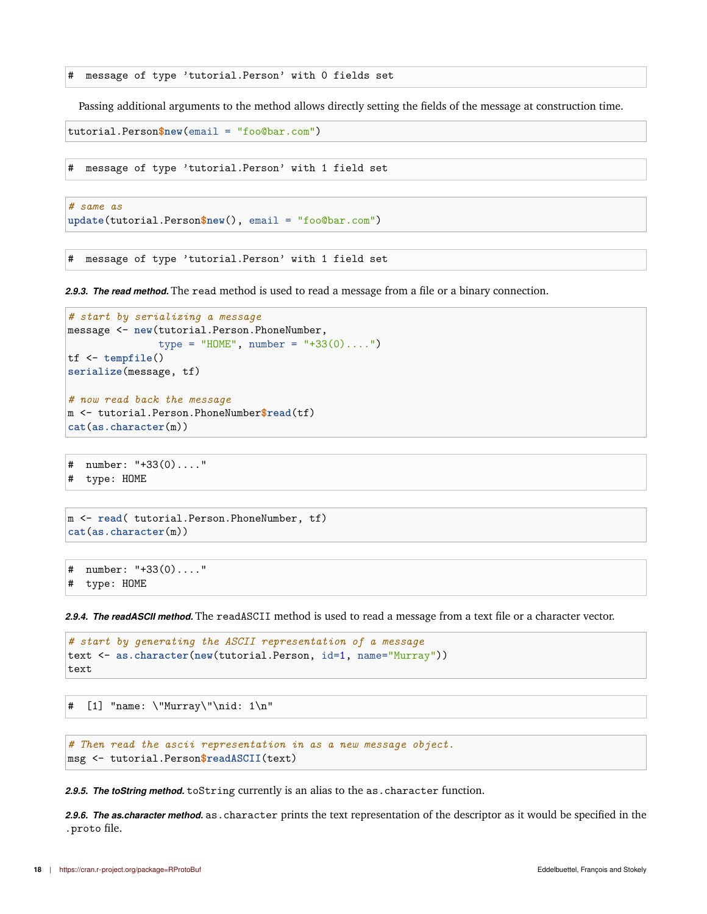# message of type 'tutorial.Person' with 0 fields set

Passing additional arguments to the method allows directly setting the fields of the message at construction time.

```
tutorial.Person$new(email = "foo@bar.com")
```
# message of type 'tutorial.Person' with 1 field set

```
# same as
update(tutorial.Person$new(), email = "foo@bar.com")
```
# message of type 'tutorial.Person' with 1 field set

<span id="page-17-0"></span>*2.9.3. The read method.* The read method is used to read a message from a file or a binary connection.

```
# start by serializing a message
message <- new(tutorial.Person.PhoneNumber,
               type = "HOME", number = "+33(0)....")
tf <- tempfile()
serialize(message, tf)
# now read back the message
m <- tutorial.Person.PhoneNumber$read(tf)
cat(as.character(m))
```

```
# number: "+33(0)...."
# type: HOME
```

```
m <- read( tutorial.Person.PhoneNumber, tf)
cat(as.character(m))
```

```
# number: "+33(0)...."
# type: HOME
```
<span id="page-17-1"></span>*2.9.4. The readASCII method.* The readASCII method is used to read a message from a text file or a character vector.

```
# start by generating the ASCII representation of a message
text <- as.character(new(tutorial.Person, id=1, name="Murray"))
text
```
# [1] "name: \"Murray\"\nid: 1\n"

```
# Then read the ascii representation in as a new message object.
msg <- tutorial.Person$readASCII(text)
```
<span id="page-17-3"></span><span id="page-17-2"></span>*2.9.5. The toString method.* toString currently is an alias to the as.character function.

*2.9.6. The as.character method.* as.character prints the text representation of the descriptor as it would be specified in the .proto file.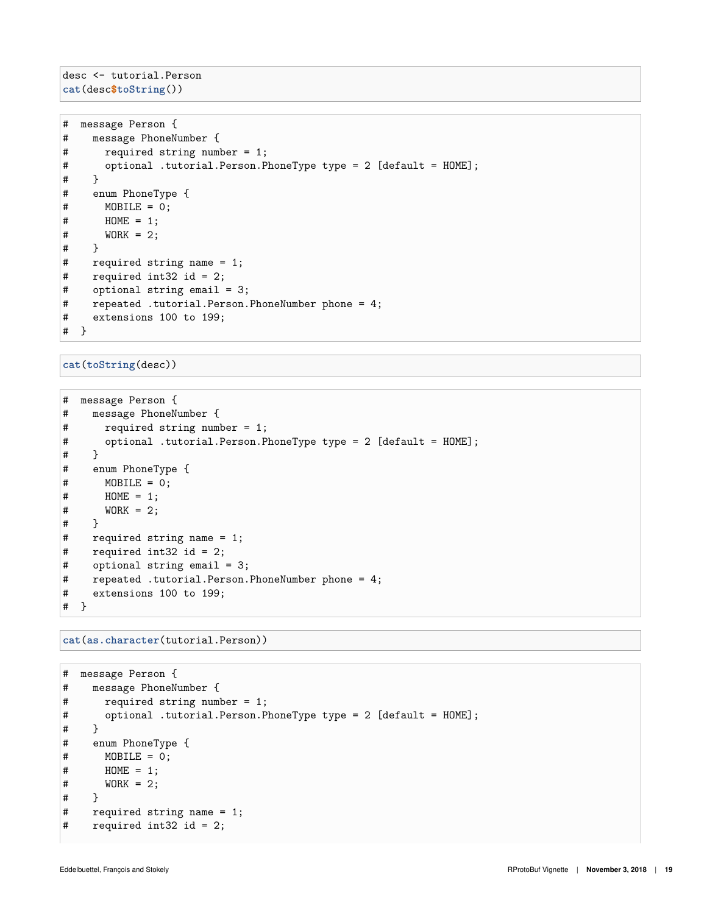desc <- tutorial.Person **cat**(desc**\$toString**())

```
# message Person {
# message PhoneNumber {
# required string number = 1;
# optional .tutorial.Person.PhoneType type = 2 [default = HOME];
# }
# enum PhoneType {
# MOBILE = 0;
# HOME = 1;
\# WORK = 2;
# }
# required string name = 1;
# required int32 id = 2;
# optional string email = 3;
# repeated .tutorial.Person.PhoneNumber phone = 4;
# extensions 100 to 199;
# }
```
**cat**(**toString**(desc))

```
# message Person {
# message PhoneNumber {
# required string number = 1;
# optional .tutorial.Person.PhoneType type = 2 [default = HOME];
# }
# enum PhoneType {
# MOBILE = 0;
# HOME = 1;
\# WORK = 2;
# }
# required string name = 1;
# required int32 id = 2;
    optional string email = 3;
# repeated .tutorial.Person.PhoneNumber phone = 4;
# extensions 100 to 199;
# }
```
**cat**(**as.character**(tutorial.Person))

```
# message Person {
# message PhoneNumber {
# required string number = 1;
# optional .tutorial.Person.PhoneType type = 2 [default = HOME];
\begin{array}{cc} \# & \Big\} \\ \# & \quad \  \  \, \mathrm{e} \end{array}# enum PhoneType {
       MOBILE = 0;# HOME = 1;
\# WORK = 2;
# }
# required string name = 1;
# required int32 id = 2;
```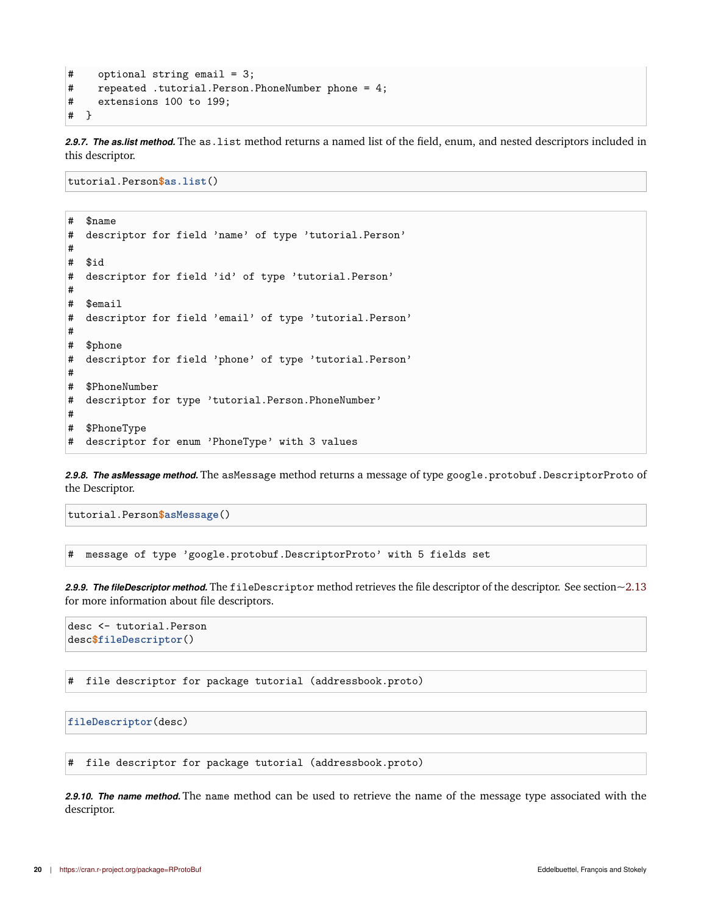```
# optional string email = 3;
# repeated .tutorial.Person.PhoneNumber phone = 4;
# extensions 100 to 199;
# }
```
<span id="page-19-0"></span>*2.9.7. The as.list method.* The as.list method returns a named list of the field, enum, and nested descriptors included in this descriptor.

tutorial.Person**\$as.list**()

```
# $name
# descriptor for field 'name' of type 'tutorial.Person'
#
# $id
# descriptor for field 'id' of type 'tutorial.Person'
#
# $email
# descriptor for field 'email' of type 'tutorial.Person'
#
# $phone
# descriptor for field 'phone' of type 'tutorial.Person'
#
# $PhoneNumber
# descriptor for type 'tutorial.Person.PhoneNumber'
#
# $PhoneType
# descriptor for enum 'PhoneType' with 3 values
```
<span id="page-19-1"></span>2.9.8. The asMessage method. The asMessage method returns a message of type google.protobuf.DescriptorProto of the Descriptor.

tutorial.Person**\$asMessage**()

# message of type 'google.protobuf.DescriptorProto' with 5 fields set

<span id="page-19-2"></span>*2.9.9. The fileDescriptor method.* The fileDescriptor method retrieves the file descriptor of the descriptor. See section[~2.13](#page-30-4) for more information about file descriptors.

```
desc <- tutorial.Person
desc$fileDescriptor()
```
# file descriptor for package tutorial (addressbook.proto)

**fileDescriptor**(desc)

# file descriptor for package tutorial (addressbook.proto)

<span id="page-19-3"></span>*2.9.10. The name method.* The name method can be used to retrieve the name of the message type associated with the descriptor.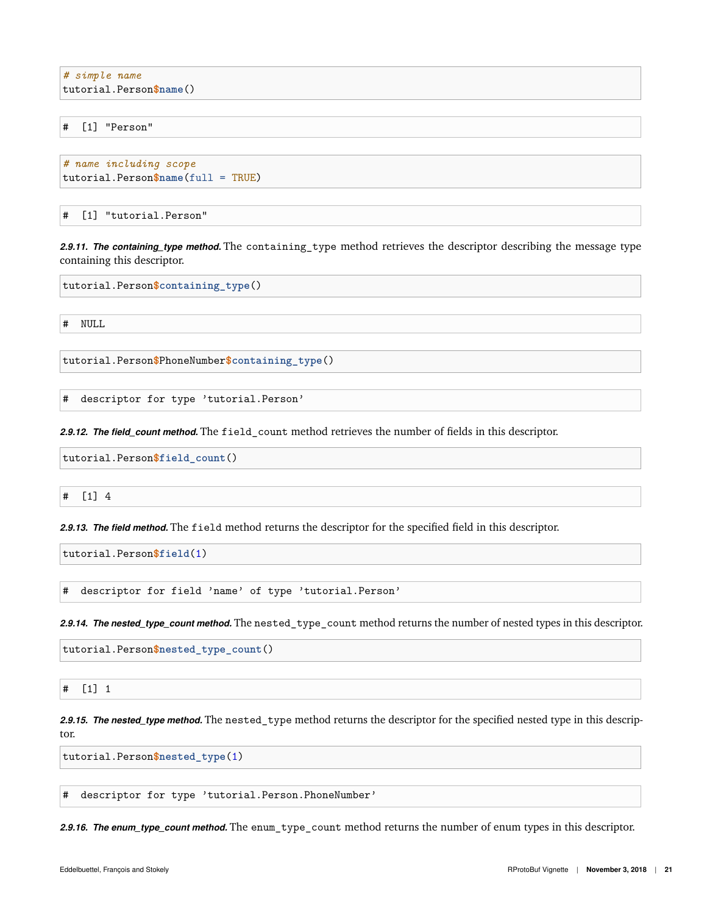*# simple name* tutorial.Person**\$name**()

# [1] "Person"

```
# name including scope
tutorial.Person$name(full = TRUE)
```
# [1] "tutorial.Person"

<span id="page-20-0"></span>*2.9.11. The containing\_type method.* The containing\_type method retrieves the descriptor describing the message type containing this descriptor.

tutorial.Person**\$containing\_type**()

# NULL

tutorial.Person**\$**PhoneNumber**\$containing\_type**()

# descriptor for type 'tutorial.Person'

<span id="page-20-1"></span>*2.9.12. The field\_count method.* The field\_count method retrieves the number of fields in this descriptor.

tutorial.Person**\$field\_count**()

# [1] 4

<span id="page-20-2"></span>*2.9.13. The field method.* The field method returns the descriptor for the specified field in this descriptor.

tutorial.Person**\$field**(1)

# descriptor for field 'name' of type 'tutorial.Person'

<span id="page-20-3"></span>*2.9.14. The nested\_type\_count method.* The nested\_type\_count method returns the number of nested types in this descriptor.

tutorial.Person**\$nested\_type\_count**()

# [1] 1

<span id="page-20-4"></span>*2.9.15. The nested\_type method.* The nested\_type method returns the descriptor for the specified nested type in this descriptor.

tutorial.Person**\$nested\_type**(1)

# descriptor for type 'tutorial.Person.PhoneNumber'

<span id="page-20-5"></span>*2.9.16. The enum\_type\_count method.* The enum\_type\_count method returns the number of enum types in this descriptor.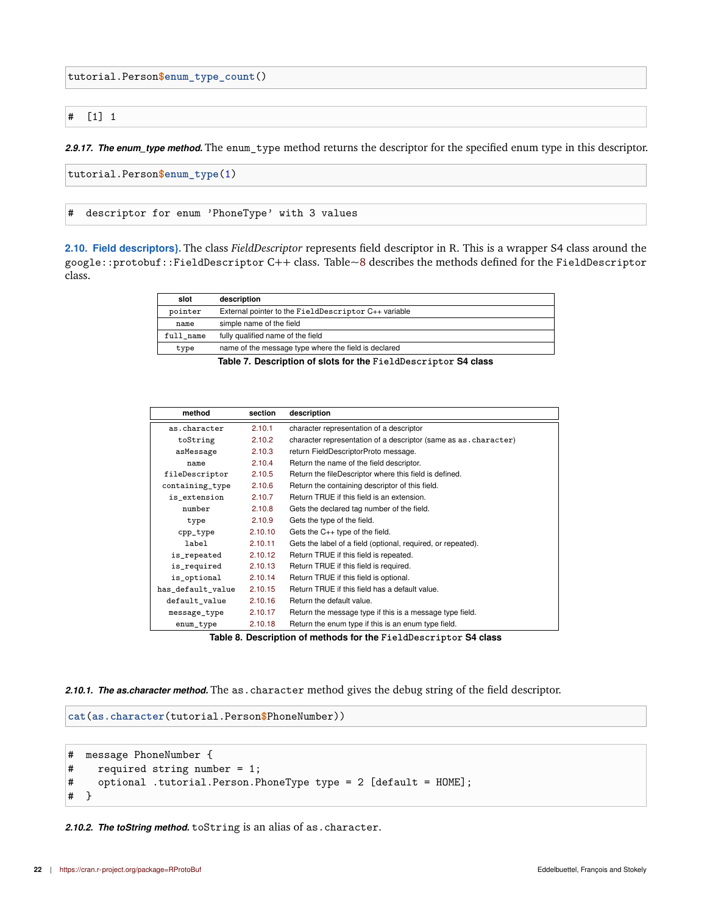tutorial.Person**\$enum\_type\_count**()

#### # [1] 1

<span id="page-21-0"></span>*2.9.17. The enum\_type method.* The enum\_type method returns the descriptor for the specified enum type in this descriptor.

```
tutorial.Person$enum_type(1)
```
# descriptor for enum 'PhoneType' with 3 values

<span id="page-21-1"></span>**2.10. Field descriptors}.** The class *FieldDescriptor* represents field descriptor in R. This is a wrapper S4 class around the google::protobuf::FieldDescriptor C++ class. Table[~8](#page-21-4) describes the methods defined for the FieldDescriptor class.

| slot      | description                                          |
|-----------|------------------------------------------------------|
| pointer   | External pointer to the FieldDescriptor C++ variable |
| name      | simple name of the field                             |
| full name | fully qualified name of the field                    |
| type      | name of the message type where the field is declared |

**Table 7. Description of slots for the FieldDescriptor S4 class**

<span id="page-21-4"></span>

| method            | section | description                                                     |
|-------------------|---------|-----------------------------------------------------------------|
| as.character      | 2.10.1  | character representation of a descriptor                        |
| toString          | 2.10.2  | character representation of a descriptor (same as as character) |
| asMessage         | 2.10.3  | return FieldDescriptorProto message.                            |
| name              | 2.10.4  | Return the name of the field descriptor.                        |
| fileDescriptor    | 2.10.5  | Return the fileDescriptor where this field is defined.          |
| containing_type   | 2.10.6  | Return the containing descriptor of this field.                 |
| is_extension      | 2.10.7  | Return TRUE if this field is an extension.                      |
| number            | 2.10.8  | Gets the declared tag number of the field.                      |
| type              | 2.10.9  | Gets the type of the field.                                     |
| cpp_type          | 2.10.10 | Gets the $C_{++}$ type of the field.                            |
| label             | 2.10.11 | Gets the label of a field (optional, required, or repeated).    |
| is_repeated       | 2.10.12 | Return TRUE if this field is repeated.                          |
| is_required       | 2.10.13 | Return TRUE if this field is required.                          |
| is_optional       | 2.10.14 | Return TRUE if this field is optional.                          |
| has_default_value | 2.10.15 | Return TRUE if this field has a default value.                  |
| default value     | 2.10.16 | Return the default value.                                       |
| message_type      | 2.10.17 | Return the message type if this is a message type field.        |
| enum_type         | 2.10.18 | Return the enum type if this is an enum type field.             |

**Table 8. Description of methods for the FieldDescriptor S4 class**

<span id="page-21-2"></span>*2.10.1. The as.character method.* The as.character method gives the debug string of the field descriptor.

```
cat(as.character(tutorial.Person$PhoneNumber))
```

```
# message PhoneNumber {
# required string number = 1;
# optional .tutorial.Person.PhoneType type = 2 [default = HOME];
# }
```
<span id="page-21-3"></span>*2.10.2. The toString method.* toString is an alias of as.character.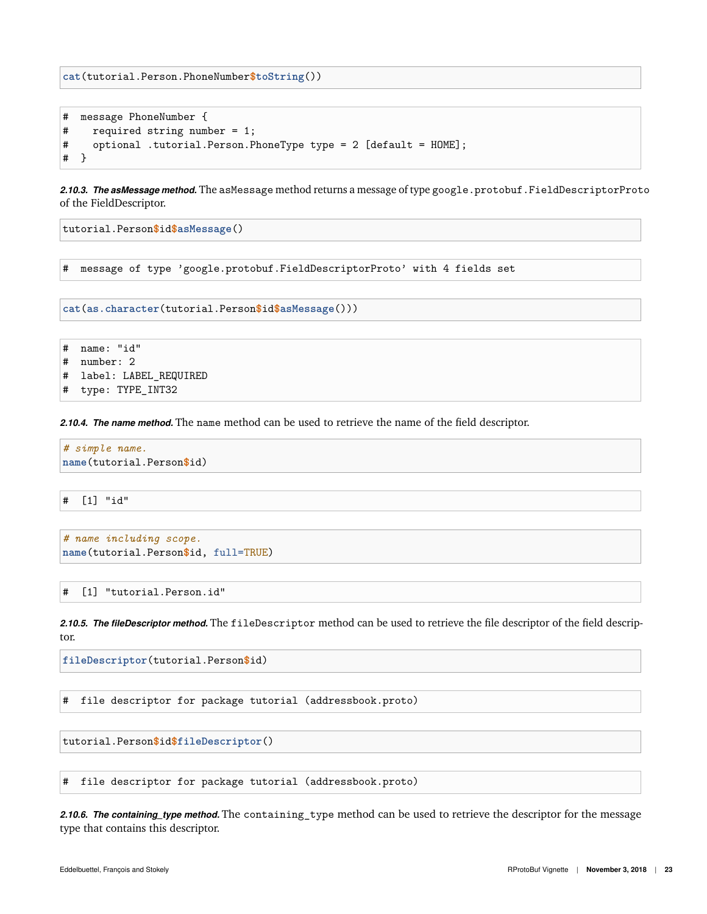**cat**(tutorial.Person.PhoneNumber**\$toString**())

```
# message PhoneNumber {
# required string number = 1;
# optional .tutorial.Person.PhoneType type = 2 [default = HOME];
# }
```
<span id="page-22-0"></span>*2.10.3. The asMessage method.* The asMessage method returns a message of type google.protobuf.FieldDescriptorProto of the FieldDescriptor.

tutorial.Person**\$**id**\$asMessage**()

```
# message of type 'google.protobuf.FieldDescriptorProto' with 4 fields set
```
**cat**(**as.character**(tutorial.Person**\$**id**\$asMessage**()))

```
# name: "id"
```
- # number: 2
- # label: LABEL\_REQUIRED
- # type: TYPE\_INT32

<span id="page-22-1"></span>*2.10.4. The name method.* The name method can be used to retrieve the name of the field descriptor.

*# simple name.* **name**(tutorial.Person**\$**id)

# [1] "id"

```
# name including scope.
name(tutorial.Person$id, full=TRUE)
```
# [1] "tutorial.Person.id"

<span id="page-22-2"></span>*2.10.5. The fileDescriptor method.* The fileDescriptor method can be used to retrieve the file descriptor of the field descriptor.

**fileDescriptor**(tutorial.Person**\$**id)

# file descriptor for package tutorial (addressbook.proto)

tutorial.Person**\$**id**\$fileDescriptor**()

# file descriptor for package tutorial (addressbook.proto)

<span id="page-22-3"></span>*2.10.6. The containing\_type method.* The containing\_type method can be used to retrieve the descriptor for the message type that contains this descriptor.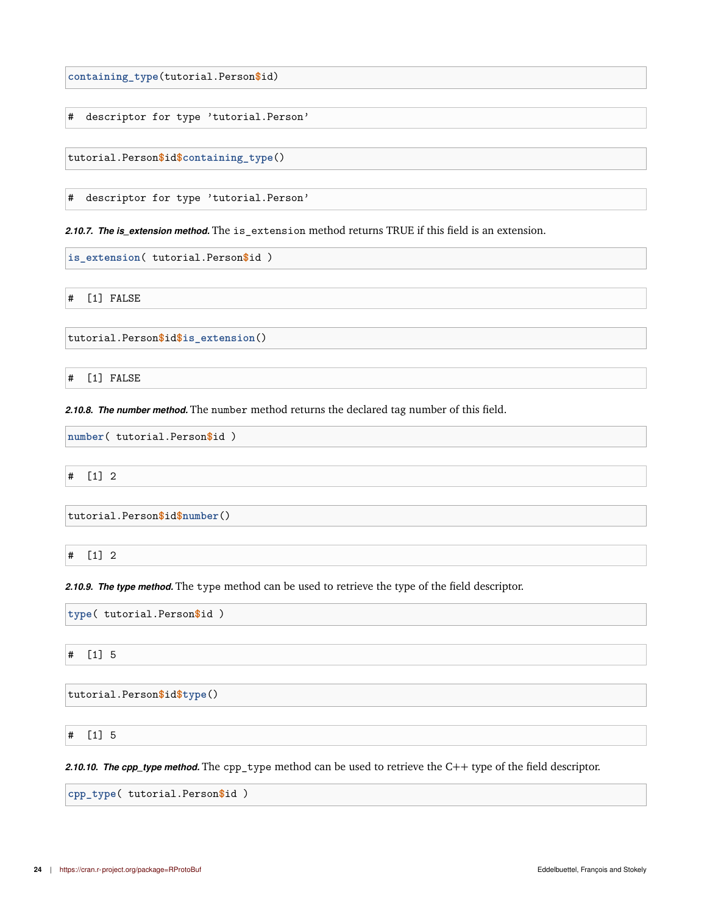**containing\_type**(tutorial.Person**\$**id)

# descriptor for type 'tutorial.Person'

tutorial.Person**\$**id**\$containing\_type**()

# descriptor for type 'tutorial.Person'

<span id="page-23-0"></span>*2.10.7. The is\_extension method.* The is\_extension method returns TRUE if this field is an extension.

**is\_extension**( tutorial.Person**\$**id )

# [1] FALSE

tutorial.Person**\$**id**\$is\_extension**()

# [1] FALSE

<span id="page-23-1"></span>*2.10.8. The number method.* The number method returns the declared tag number of this field.

**number**( tutorial.Person**\$**id )

# [1] 2

tutorial.Person**\$**id**\$number**()

# [1] 2

<span id="page-23-2"></span>*2.10.9. The type method.* The type method can be used to retrieve the type of the field descriptor.

**type**( tutorial.Person**\$**id )

# [1] 5

tutorial.Person**\$**id**\$type**()

# [1] 5

<span id="page-23-3"></span>*2.10.10. The cpp\_type method.* The cpp\_type method can be used to retrieve the C++ type of the field descriptor.

**cpp\_type**( tutorial.Person**\$**id )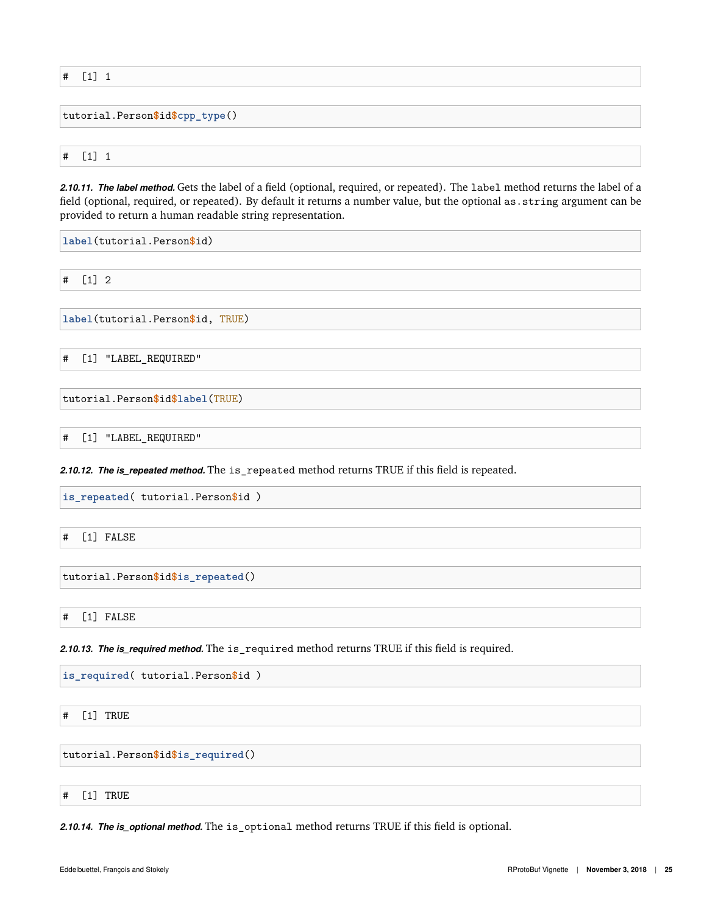# [1] 1

tutorial.Person**\$**id**\$cpp\_type**()

# [1] 1

<span id="page-24-0"></span>*2.10.11. The label method.* Gets the label of a field (optional, required, or repeated). The label method returns the label of a field (optional, required, or repeated). By default it returns a number value, but the optional as.string argument can be provided to return a human readable string representation.

**label**(tutorial.Person**\$**id)

# [1] 2

**label**(tutorial.Person**\$**id, TRUE)

# [1] "LABEL\_REQUIRED"

tutorial.Person**\$**id**\$label**(TRUE)

# [1] "LABEL\_REQUIRED"

<span id="page-24-1"></span>*2.10.12. The is\_repeated method.* The is\_repeated method returns TRUE if this field is repeated.

**is\_repeated**( tutorial.Person**\$**id )

# [1] FALSE

tutorial.Person**\$**id**\$is\_repeated**()

# [1] FALSE

<span id="page-24-2"></span>*2.10.13. The is\_required method.* The is\_required method returns TRUE if this field is required.

**is\_required**( tutorial.Person**\$**id )

# [1] TRUE

tutorial.Person**\$**id**\$is\_required**()

# [1] TRUE

<span id="page-24-3"></span>2.10.14. The is\_optional method. The is\_optional method returns TRUE if this field is optional.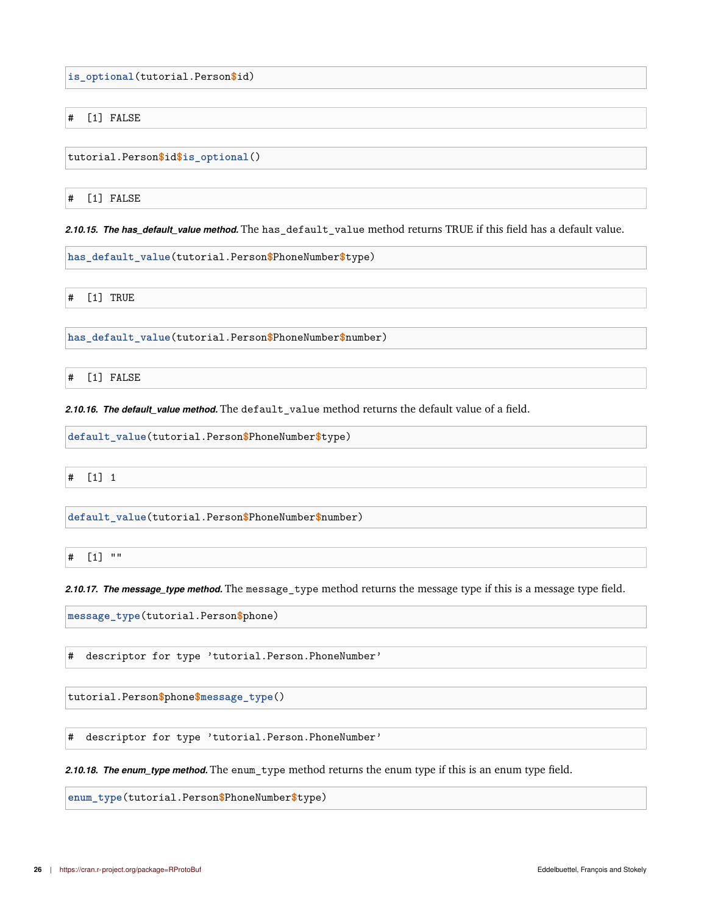**is\_optional**(tutorial.Person**\$**id)

# [1] FALSE

tutorial.Person**\$**id**\$is\_optional**()

# [1] FALSE

<span id="page-25-0"></span>*2.10.15. The has\_default\_value method.* The has\_default\_value method returns TRUE if this field has a default value.

**has\_default\_value**(tutorial.Person**\$**PhoneNumber**\$**type)

# [1] TRUE

**has\_default\_value**(tutorial.Person**\$**PhoneNumber**\$**number)

# [1] FALSE

<span id="page-25-1"></span>*2.10.16. The default\_value method.* The default\_value method returns the default value of a field.

**default\_value**(tutorial.Person**\$**PhoneNumber**\$**type)

# [1] 1

**default\_value**(tutorial.Person**\$**PhoneNumber**\$**number)

# [1] ""

<span id="page-25-2"></span>*2.10.17. The message\_type method.* The message\_type method returns the message type if this is a message type field.

**message\_type**(tutorial.Person**\$**phone)

# descriptor for type 'tutorial.Person.PhoneNumber'

tutorial.Person**\$**phone**\$message\_type**()

# descriptor for type 'tutorial.Person.PhoneNumber'

<span id="page-25-3"></span>*2.10.18. The enum\_type method.* The enum\_type method returns the enum type if this is an enum type field.

**enum\_type**(tutorial.Person**\$**PhoneNumber**\$**type)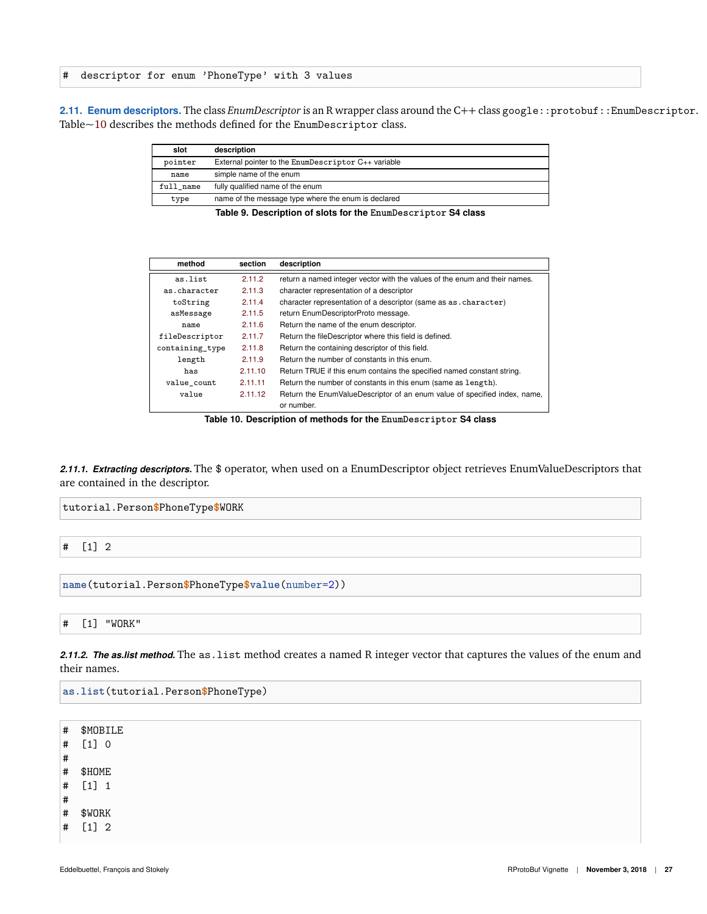# descriptor for enum 'PhoneType' with 3 values

<span id="page-26-0"></span>2.11. Eenum descriptors. The class *EnumDescriptor* is an R wrapper class around the C++ class google::protobuf::EnumDescriptor. Table[~10](#page-26-3) describes the methods defined for the EnumDescriptor class.

| slot      | description                                         |  |
|-----------|-----------------------------------------------------|--|
| pointer   | External pointer to the EnumDescriptor C++ variable |  |
| name      | simple name of the enum                             |  |
| full name | fully qualified name of the enum                    |  |
| type      | name of the message type where the enum is declared |  |
|           |                                                     |  |

**Table 9. Description of slots for the EnumDescriptor S4 class**

<span id="page-26-3"></span>

| method          | section | description                                                                             |  |
|-----------------|---------|-----------------------------------------------------------------------------------------|--|
| as.list         | 2.11.2  | return a named integer vector with the values of the enum and their names.              |  |
| as.character    | 2.11.3  | character representation of a descriptor                                                |  |
| toString        | 2.11.4  | character representation of a descriptor (same as as. character)                        |  |
| asMessage       | 2.11.5  | return EnumDescriptorProto message.                                                     |  |
| name            | 2.11.6  | Return the name of the enum descriptor.                                                 |  |
| fileDescriptor  | 2.11.7  | Return the fileDescriptor where this field is defined.                                  |  |
| containing_type | 2.11.8  | Return the containing descriptor of this field.                                         |  |
| length          | 2.11.9  | Return the number of constants in this enum.                                            |  |
| has             | 2.11.10 | Return TRUE if this enum contains the specified named constant string.                  |  |
| value count     | 2.11.11 | Return the number of constants in this enum (same as length).                           |  |
| value           | 2.11.12 | Return the EnumValueDescriptor of an enum value of specified index, name,<br>or number. |  |

**Table 10. Description of methods for the EnumDescriptor S4 class**

<span id="page-26-1"></span>*2.11.1. Extracting descriptors.* The \$ operator, when used on a EnumDescriptor object retrieves EnumValueDescriptors that are contained in the descriptor.

**name**(tutorial.Person**\$**PhoneType**\$value**(number=2))

# [1] "WORK"

<span id="page-26-2"></span>*2.11.2. The as.list method.* The as.list method creates a named R integer vector that captures the values of the enum and their names.

**as.list**(tutorial.Person**\$**PhoneType)

# \$MOBILE # [1] 0 # # \$HOME # [1] 1 # # \$WORK # [1] 2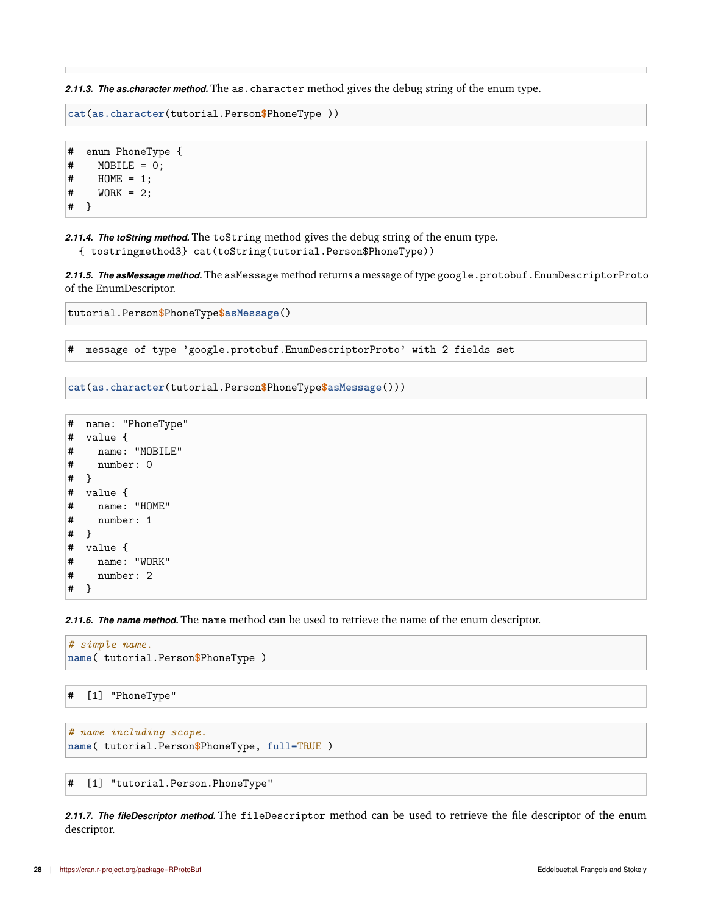<span id="page-27-0"></span>*2.11.3. The as.character method.* The as.character method gives the debug string of the enum type.

```
cat(as.character(tutorial.Person$PhoneType ))
```

```
# enum PhoneType {
# MOBILE = 0;
\# HOME = 1;
\# WORK = 2;
# }
```
<span id="page-27-1"></span>*2.11.4. The toString method.* The toString method gives the debug string of the enum type.

<span id="page-27-2"></span>{ tostringmethod3} cat(toString(tutorial.Person\$PhoneType))

2.11.5. The asMessage method. The asMessage method returns a message of type google.protobuf.EnumDescriptorProto of the EnumDescriptor.

```
tutorial.Person$PhoneType$asMessage()
```
# message of type 'google.protobuf.EnumDescriptorProto' with 2 fields set

```
cat(as.character(tutorial.Person$PhoneType$asMessage()))
```

```
# name: "PhoneType"
# value {
# name: "MOBILE"
# number: 0
# }
# value {
# name: "HOME"
# number: 1
# }
# value {
# name: "WORK"
# number: 2
# }
```
<span id="page-27-3"></span>*2.11.6. The name method.* The name method can be used to retrieve the name of the enum descriptor.

```
# simple name.
name( tutorial.Person$PhoneType )
```

```
# [1] "PhoneType"
```

```
# name including scope.
name( tutorial.Person$PhoneType, full=TRUE )
```

```
# [1] "tutorial.Person.PhoneType"
```
<span id="page-27-4"></span>*2.11.7. The fileDescriptor method.* The fileDescriptor method can be used to retrieve the file descriptor of the enum descriptor.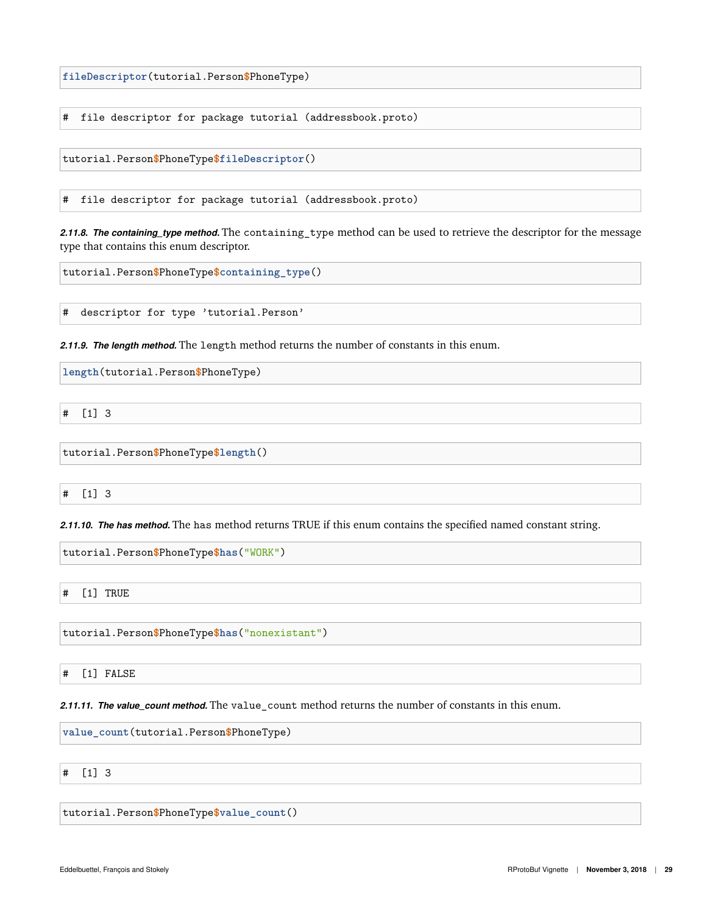**fileDescriptor**(tutorial.Person**\$**PhoneType)

# file descriptor for package tutorial (addressbook.proto)

tutorial.Person**\$**PhoneType**\$fileDescriptor**()

# file descriptor for package tutorial (addressbook.proto)

<span id="page-28-0"></span>*2.11.8. The containing\_type method.* The containing\_type method can be used to retrieve the descriptor for the message type that contains this enum descriptor.

tutorial.Person**\$**PhoneType**\$containing\_type**()

# descriptor for type 'tutorial.Person'

<span id="page-28-1"></span>*2.11.9. The length method.* The length method returns the number of constants in this enum.

**length**(tutorial.Person**\$**PhoneType)

# [1] 3

tutorial.Person**\$**PhoneType**\$length**()

# [1] 3

<span id="page-28-2"></span>*2.11.10. The has method.* The has method returns TRUE if this enum contains the specified named constant string.

tutorial.Person**\$**PhoneType**\$has**("WORK")

# [1] TRUE

tutorial.Person**\$**PhoneType**\$has**("nonexistant")

# [1] FALSE

<span id="page-28-3"></span>*2.11.11. The value\_count method.* The value\_count method returns the number of constants in this enum.

**value\_count**(tutorial.Person**\$**PhoneType)

# [1] 3

tutorial.Person**\$**PhoneType**\$value\_count**()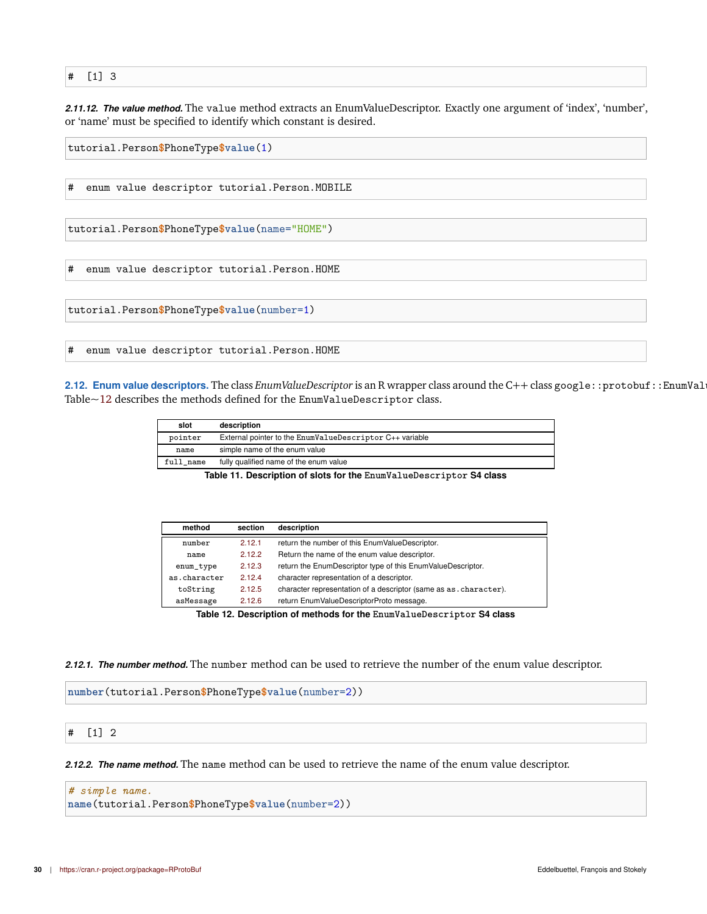#### # [1] 3

<span id="page-29-0"></span>*2.11.12. The value method.* The value method extracts an EnumValueDescriptor. Exactly one argument of 'index', 'number', or 'name' must be specified to identify which constant is desired.

```
tutorial.Person$PhoneType$value(1)
# enum value descriptor tutorial.Person.MOBILE
tutorial.Person$PhoneType$value(name="HOME")
# enum value descriptor tutorial.Person.HOME
tutorial.Person$PhoneType$value(number=1)
# enum value descriptor tutorial.Person.HOME
```
<span id="page-29-1"></span>2.12. Enum value descriptors. The class *EnumValueDescriptor* is an R wrapper class around the C++ class google::protobuf::EnumVal Table[~12](#page-29-4) describes the methods defined for the EnumValueDescriptor class.

| slot      | description                                              |
|-----------|----------------------------------------------------------|
| pointer   | External pointer to the EnumValueDescriptor C++ variable |
| name      | simple name of the enum value                            |
| full name | fully qualified name of the enum value                   |

**Table 11. Description of slots for the EnumValueDescriptor S4 class**

<span id="page-29-4"></span>

| method                                                                | section | description                                                        |
|-----------------------------------------------------------------------|---------|--------------------------------------------------------------------|
| number                                                                | 2.12.1  | return the number of this EnumValueDescriptor.                     |
| name                                                                  | 2.12.2  | Return the name of the enum value descriptor.                      |
| enum_type                                                             | 2.12.3  | return the EnumDescriptor type of this EnumValueDescriptor.        |
| as.character                                                          | 2.12.4  | character representation of a descriptor.                          |
| toString                                                              | 2.12.5  | character representation of a descriptor (same as as . character). |
| asMessage                                                             | 2.12.6  | return EnumValueDescriptorProto message.                           |
| Table 12. Description of methods for the EnumValueDescriptor S4 class |         |                                                                    |

<span id="page-29-2"></span>*2.12.1. The number method.* The number method can be used to retrieve the number of the enum value descriptor.

**number**(tutorial.Person**\$**PhoneType**\$value**(number=2))

#### # [1] 2

<span id="page-29-3"></span>*2.12.2. The name method.* The name method can be used to retrieve the name of the enum value descriptor.

*# simple name.* **name**(tutorial.Person**\$**PhoneType**\$value**(number=2))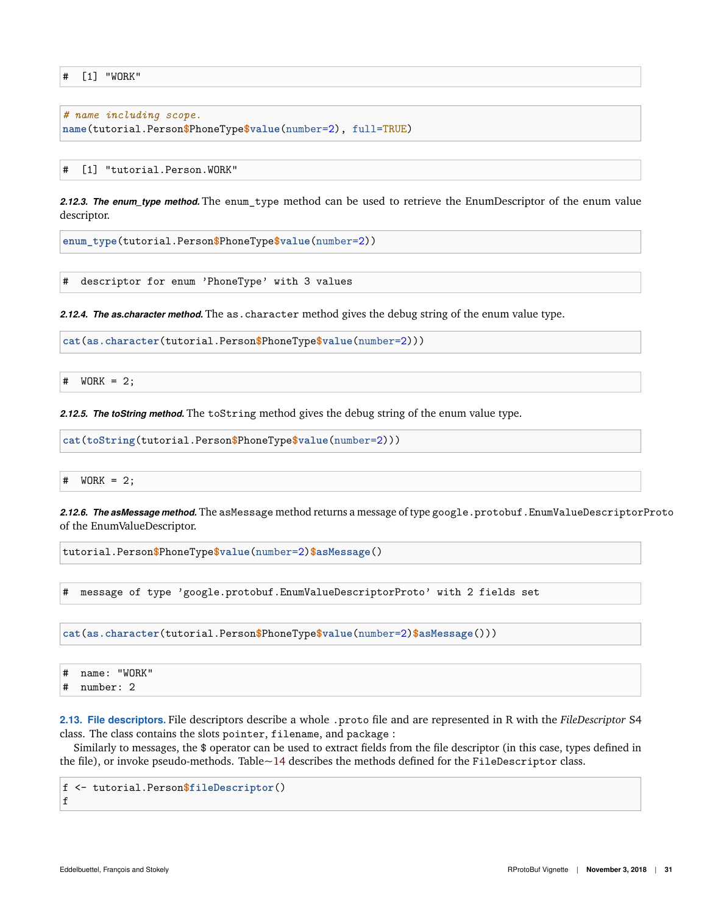# [1] "WORK"

```
# name including scope.
name(tutorial.Person$PhoneType$value(number=2), full=TRUE)
```
[1] "tutorial.Person.WORK"

<span id="page-30-0"></span>*2.12.3. The enum\_type method.* The enum\_type method can be used to retrieve the EnumDescriptor of the enum value descriptor.

**enum\_type**(tutorial.Person**\$**PhoneType**\$value**(number=2))

# descriptor for enum 'PhoneType' with 3 values

<span id="page-30-1"></span>*2.12.4. The as.character method.* The as.character method gives the debug string of the enum value type.

**cat**(**as.character**(tutorial.Person**\$**PhoneType**\$value**(number=2)))

# WORK = 2;

<span id="page-30-2"></span>*2.12.5. The toString method.* The toString method gives the debug string of the enum value type.

**cat**(**toString**(tutorial.Person**\$**PhoneType**\$value**(number=2)))

# WORK = 2;

<span id="page-30-3"></span>2.12.6. The asMessage method. The asMessage method returns a message of type google.protobuf.EnumValueDescriptorProto of the EnumValueDescriptor.

tutorial.Person**\$**PhoneType**\$value**(number=2)**\$asMessage**()

# message of type 'google.protobuf.EnumValueDescriptorProto' with 2 fields set

**cat**(**as.character**(tutorial.Person**\$**PhoneType**\$value**(number=2)**\$asMessage**()))

# name: "WORK"

# number: 2

<span id="page-30-4"></span>**2.13. File descriptors.** File descriptors describe a whole .proto file and are represented in R with the *FileDescriptor* S4 class. The class contains the slots pointer, filename, and package :

Similarly to messages, the \$ operator can be used to extract fields from the file descriptor (in this case, types defined in the file), or invoke pseudo-methods. Table[~14](#page-31-1) describes the methods defined for the FileDescriptor class.

f <- tutorial.Person**\$fileDescriptor**() f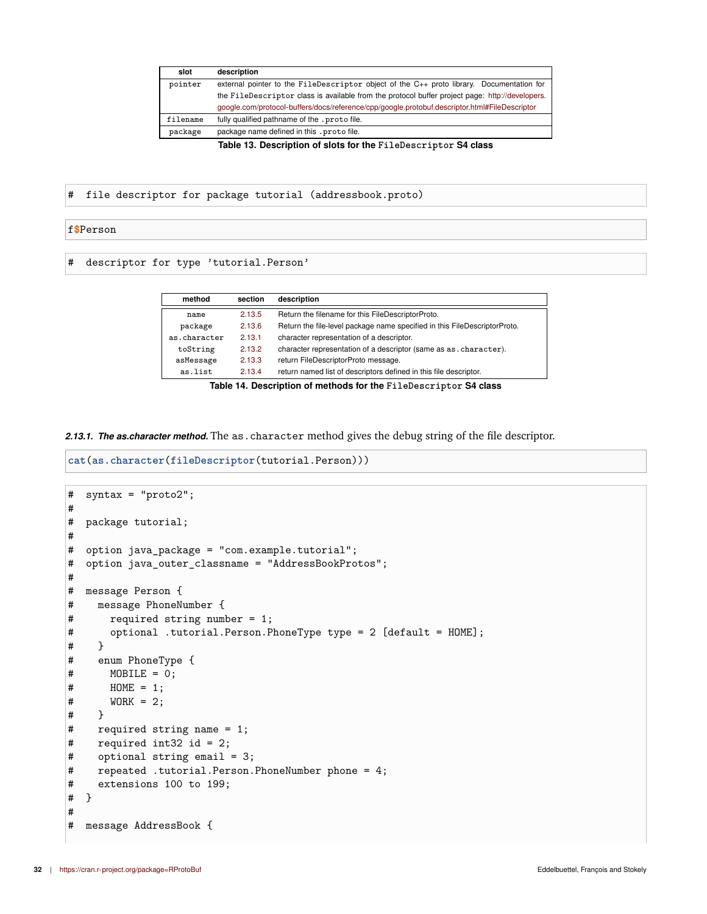| slot     | description                                                                                     |  |  |
|----------|-------------------------------------------------------------------------------------------------|--|--|
| pointer  | external pointer to the FileDescriptor object of the C++ proto library. Documentation for       |  |  |
|          | the FileDescriptor class is available from the protocol buffer project page: http://developers. |  |  |
|          | google.com/protocol-buffers/docs/reference/cpp/google.protobuf.descriptor.html#FileDescriptor   |  |  |
| filename | fully qualified pathname of the . proto file.                                                   |  |  |
| package  | package name defined in this . proto file.                                                      |  |  |

**Table 13. Description of slots for the FileDescriptor S4 class**

# file descriptor for package tutorial (addressbook.proto)

#### f**\$**Person

<span id="page-31-1"></span># descriptor for type 'tutorial.Person'

| method       | section | description                                                               |  |
|--------------|---------|---------------------------------------------------------------------------|--|
| name         | 2.13.5  | Return the filename for this FileDescriptorProto.                         |  |
| package      | 2.13.6  | Return the file-level package name specified in this FileDescriptorProto. |  |
| as.character | 2.13.1  | character representation of a descriptor.                                 |  |
| toString     | 2.13.2  | character representation of a descriptor (same as as . character).        |  |
| asMessage    | 2.13.3  | return FileDescriptorProto message.                                       |  |
| as.list      | 2.13.4  | return named list of descriptors defined in this file descriptor.         |  |

**Table 14. Description of methods for the FileDescriptor S4 class**

<span id="page-31-0"></span>*2.13.1. The as.character method.* The as.character method gives the debug string of the file descriptor.

```
cat(as.character(fileDescriptor(tutorial.Person)))
```

```
# syntax = "proto2";
#
# package tutorial;
#
# option java_package = "com.example.tutorial";
# option java_outer_classname = "AddressBookProtos";
#
# message Person {
# message PhoneNumber {
# required string number = 1;
# optional .tutorial.Person.PhoneType type = 2 [default = HOME];
# }
# enum PhoneType {
# MOBILE = 0;
# HOME = 1;
# WORK = 2;
# }
# required string name = 1;
# required int32 id = 2;
# optional string email = 3;
# repeated .tutorial.Person.PhoneNumber phone = 4;
# extensions 100 to 199;
# }
#
# message AddressBook {
```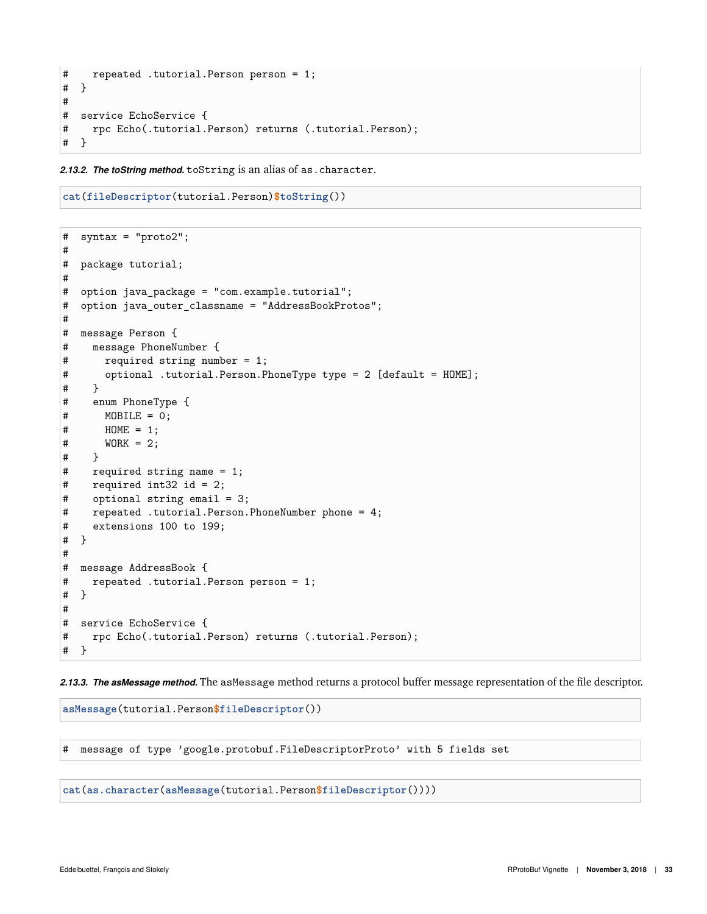```
# repeated .tutorial.Person person = 1;
# }
#
# service EchoService {
# rpc Echo(.tutorial.Person) returns (.tutorial.Person);
# }
```
<span id="page-32-0"></span>*2.13.2. The toString method.* toString is an alias of as.character.

```
cat(fileDescriptor(tutorial.Person)$toString())
```

```
# syntax = "proto2";
#
# package tutorial;
#
# option java_package = "com.example.tutorial";
# option java_outer_classname = "AddressBookProtos";
#
# message Person {
# message PhoneNumber {
# required string number = 1;
# optional .tutorial.Person.PhoneType type = 2 [default = HOME];
# }
# enum PhoneType {
# MOBILE = 0;
# HOME = 1;
# WORK = 2;
# }
# required string name = 1;
# required int32 id = 2;
# optional string email = 3;
# repeated .tutorial.Person.PhoneNumber phone = 4;
# extensions 100 to 199;
# }
#
# message AddressBook {
# repeated .tutorial.Person person = 1;
# }
#
# service EchoService {
# rpc Echo(.tutorial.Person) returns (.tutorial.Person);
# }
```
<span id="page-32-1"></span>*2.13.3. The asMessage method.* The asMessage method returns a protocol buffer message representation of the file descriptor.

**asMessage**(tutorial.Person**\$fileDescriptor**())

# message of type 'google.protobuf.FileDescriptorProto' with 5 fields set

**cat**(**as.character**(**asMessage**(tutorial.Person**\$fileDescriptor**())))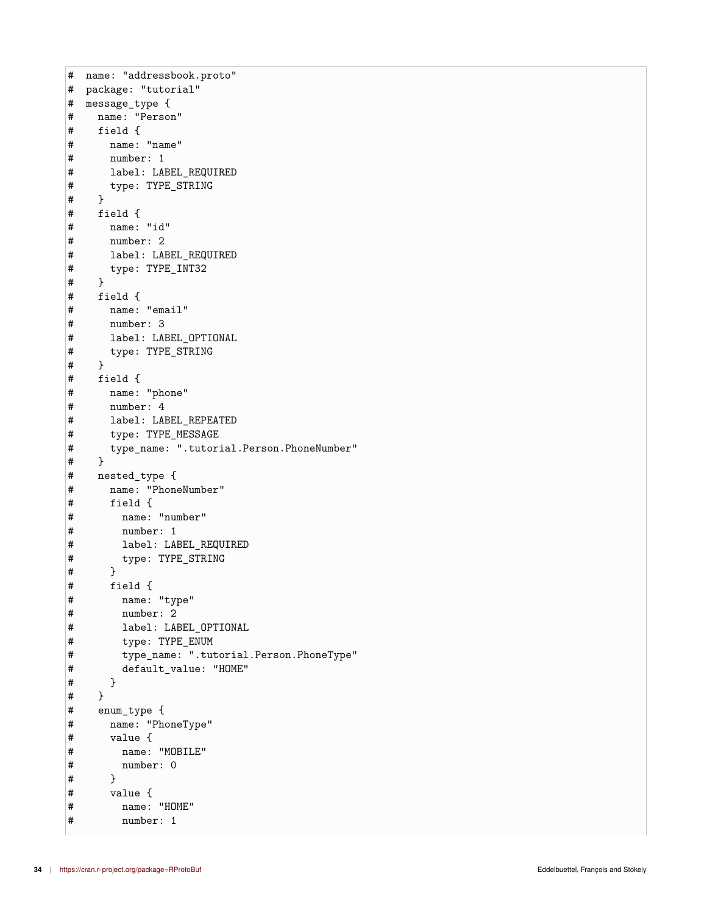```
# name: "addressbook.proto"
# package: "tutorial"
# message_type {
# name: "Person"
# field {
# name: "name"
# number: 1
# label: LABEL_REQUIRED
# type: TYPE_STRING
# }
# field {
# name: "id"
# number: 2
# label: LABEL_REQUIRED
# type: TYPE_INT32
# }
# field {
# name: "email"
# number: 3
# label: LABEL_OPTIONAL
# type: TYPE_STRING
# }
# field {
# name: "phone"
# number: 4
# label: LABEL_REPEATED
# type: TYPE_MESSAGE
# type_name: ".tutorial.Person.PhoneNumber"
# }
# nested_type {
# name: "PhoneNumber"
# field {
      name: "number"
# number: 1
# label: LABEL_REQUIRED
# type: TYPE_STRING
# }
# field {
# name: "type"
# number: 2
# label: LABEL_OPTIONAL
# type: TYPE_ENUM
# type_name: ".tutorial.Person.PhoneType"
# default_value: "HOME"
# }
# }
# enum_type {
# name: "PhoneType"
# value {
# name: "MOBILE"
# number: 0
# }
# value {
# name: "HOME"
# number: 1
```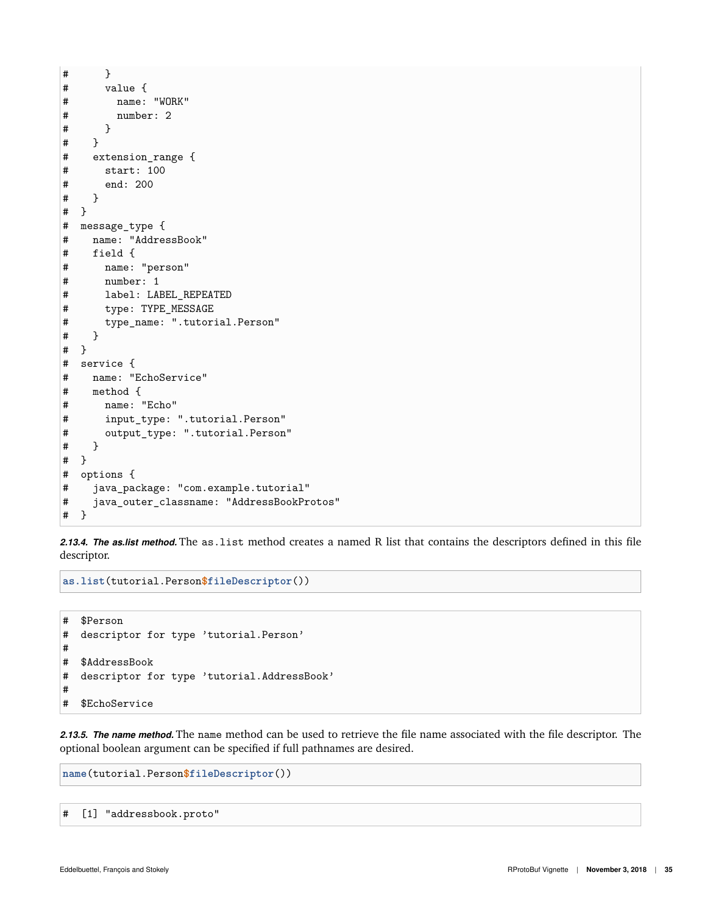```
# }
# value {
# name: "WORK"
# number: 2<br># }
      \mathcal{F}# }
# extension_range {
# start: 100
# end: 200
# }
# }
# message_type {
# name: "AddressBook"
# field {
# name: "person"
# number: 1
# label: LABEL_REPEATED
# type: TYPE_MESSAGE
# type_name: ".tutorial.Person"
# }
# }
# service {
# name: "EchoService"
# method {
# name: "Echo"
# input_type: ".tutorial.Person"
# output_type: ".tutorial.Person"
# }
# }
# options {
# java_package: "com.example.tutorial"
# java_outer_classname: "AddressBookProtos"
# }
```
<span id="page-34-0"></span>*2.13.4. The as.list method.* The as.list method creates a named R list that contains the descriptors defined in this file descriptor.

**as.list**(tutorial.Person**\$fileDescriptor**())

```
# $Person
# descriptor for type 'tutorial.Person'
#
# $AddressBook
# descriptor for type 'tutorial.AddressBook'
#
# $EchoService
```
<span id="page-34-1"></span>*2.13.5. The name method.* The name method can be used to retrieve the file name associated with the file descriptor. The optional boolean argument can be specified if full pathnames are desired.

**name**(tutorial.Person**\$fileDescriptor**())

# [1] "addressbook.proto"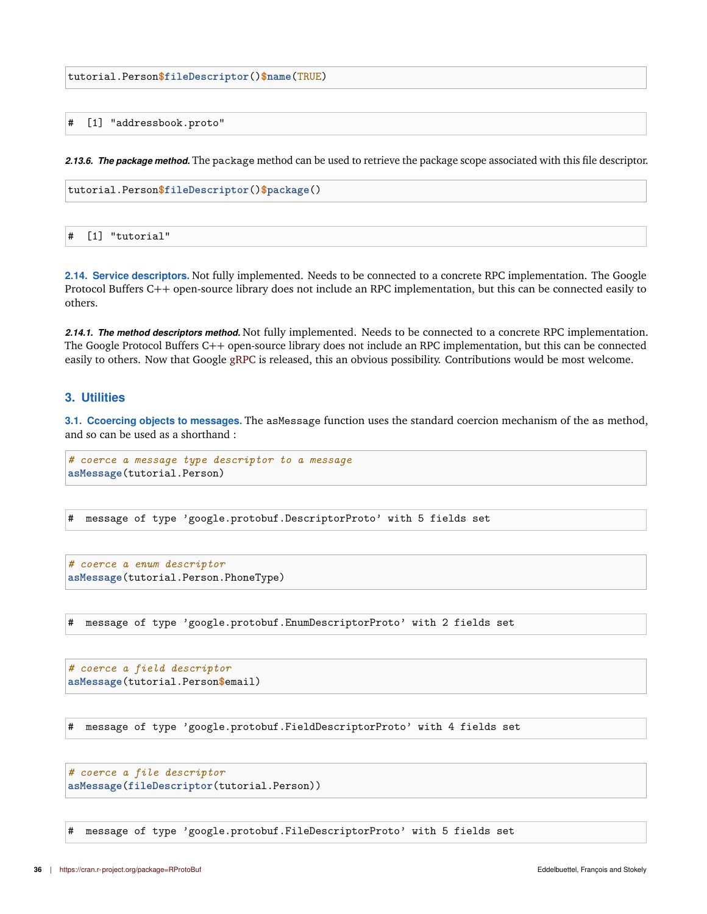tutorial.Person**\$fileDescriptor**()**\$name**(TRUE)

#### # [1] "addressbook.proto"

<span id="page-35-0"></span>*2.13.6. The package method.* The package method can be used to retrieve the package scope associated with this file descriptor.

tutorial.Person**\$fileDescriptor**()**\$package**()

# [1] "tutorial"

<span id="page-35-1"></span>**2.14. Service descriptors.** Not fully implemented. Needs to be connected to a concrete RPC implementation. The Google Protocol Buffers C++ open-source library does not include an RPC implementation, but this can be connected easily to others.

<span id="page-35-2"></span>*2.14.1. The method descriptors method.* Not fully implemented. Needs to be connected to a concrete RPC implementation. The Google Protocol Buffers C++ open-source library does not include an RPC implementation, but this can be connected easily to others. Now that Google [gRPC](https://grpc.io/) is released, this an obvious possibility. Contributions would be most welcome.

# <span id="page-35-3"></span>**3. Utilities**

<span id="page-35-4"></span>**3.1. Ccoercing objects to messages.** The asMessage function uses the standard coercion mechanism of the as method, and so can be used as a shorthand :

```
# coerce a message type descriptor to a message
asMessage(tutorial.Person)
```
# message of type 'google.protobuf.DescriptorProto' with 5 fields set

*# coerce a enum descriptor* **asMessage**(tutorial.Person.PhoneType)

# message of type 'google.protobuf.EnumDescriptorProto' with 2 fields set

*# coerce a field descriptor* **asMessage**(tutorial.Person**\$**email)

# message of type 'google.protobuf.FieldDescriptorProto' with 4 fields set

```
# coerce a file descriptor
asMessage(fileDescriptor(tutorial.Person))
```
<span id="page-35-5"></span># message of type 'google.protobuf.FileDescriptorProto' with 5 fields set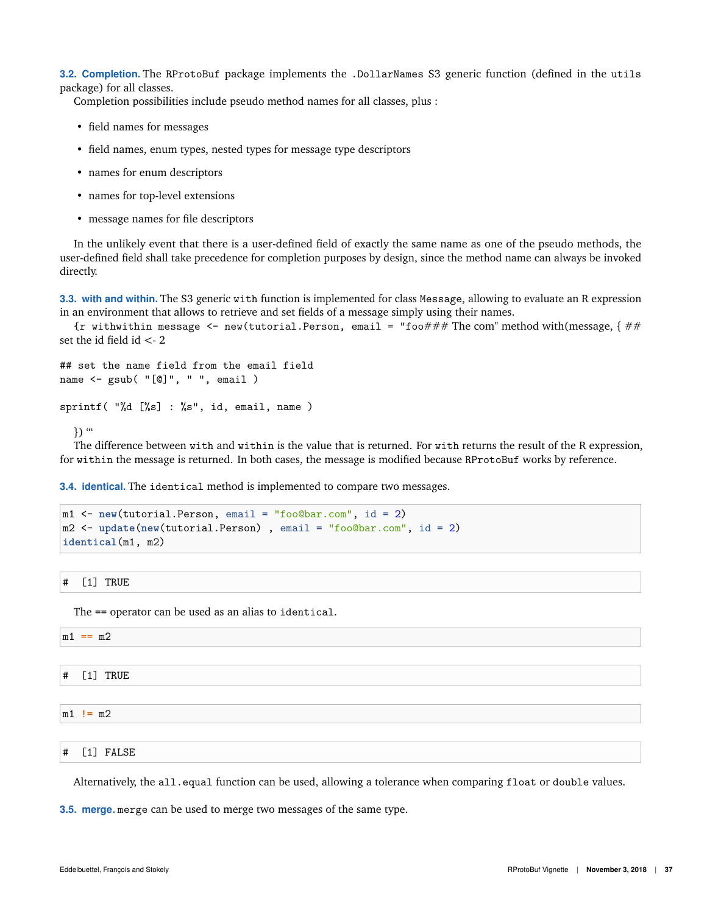**3.2. Completion.** The RProtoBuf package implements the .DollarNames S3 generic function (defined in the utils package) for all classes.

Completion possibilities include pseudo method names for all classes, plus :

- field names for messages
- field names, enum types, nested types for message type descriptors
- names for enum descriptors
- names for top-level extensions
- message names for file descriptors

In the unlikely event that there is a user-defined field of exactly the same name as one of the pseudo methods, the user-defined field shall take precedence for completion purposes by design, since the method name can always be invoked directly.

<span id="page-36-0"></span>**3.3. with and within.** The S3 generic with function is implemented for class Message, allowing to evaluate an R expression in an environment that allows to retrieve and set fields of a message simply using their names.

{r withwithin message  $\leq$ - new(tutorial.Person, email = "foo### The com" method with(message, { ## set the id field  $id < 2$ 

```
## set the name field from the email field
name <- gsub( "[@]", " ", email )
```

```
sprintf( "%d [%s] : %s", id, email, name )
```

```
) "
```
The difference between with and within is the value that is returned. For with returns the result of the R expression, for within the message is returned. In both cases, the message is modified because RProtoBuf works by reference.

<span id="page-36-1"></span>**3.4. identical.** The identical method is implemented to compare two messages.

```
m1 <- new(tutorial.Person, email = "foo@bar.com", id = 2)
m2 <- update(new(tutorial.Person) , email = "foo@bar.com", id = 2)
identical(m1, m2)
```
# [1] TRUE

The == operator can be used as an alias to identical.

| $== m2$ |  |  |
|---------|--|--|
|         |  |  |
| $ -$    |  |  |

- # [1] TRUE
- m1 **!=** m2

m1 **==** m2

# [1] FALSE

<span id="page-36-2"></span>Alternatively, the all.equal function can be used, allowing a tolerance when comparing float or double values.

**3.5. merge.** merge can be used to merge two messages of the same type.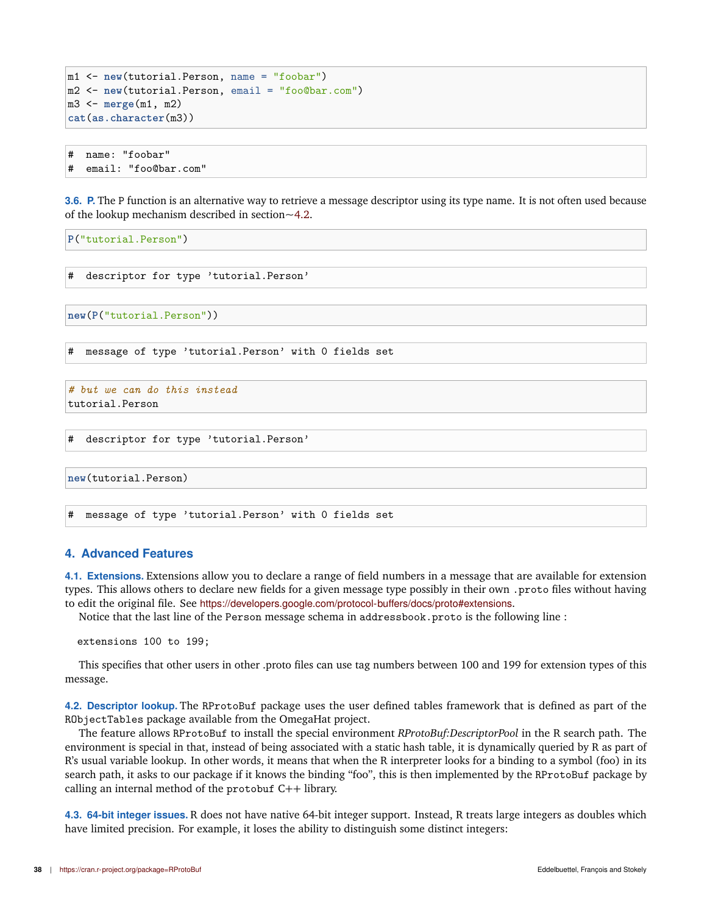```
m1 <- new(tutorial.Person, name = "foobar")
m2 <- new(tutorial.Person, email = "foo@bar.com")
m3 <- merge(m1, m2)
cat(as.character(m3))
```
# name: "foobar" # email: "foo@bar.com"

<span id="page-37-0"></span>**3.6. P.** The P function is an alternative way to retrieve a message descriptor using its type name. It is not often used because of the lookup mechanism described in section[~4.2.](#page-37-3)

**P**("tutorial.Person")

# descriptor for type 'tutorial.Person'

**new**(**P**("tutorial.Person"))

# message of type 'tutorial.Person' with 0 fields set

```
# but we can do this instead
tutorial.Person
```

```
# descriptor for type 'tutorial.Person'
```
**new**(tutorial.Person)

# message of type 'tutorial.Person' with 0 fields set

#### <span id="page-37-1"></span>**4. Advanced Features**

<span id="page-37-2"></span>**4.1. Extensions.** Extensions allow you to declare a range of field numbers in a message that are available for extension types. This allows others to declare new fields for a given message type possibly in their own .proto files without having to edit the original file. See <https://developers.google.com/protocol-buffers/docs/proto#extensions>.

Notice that the last line of the Person message schema in addressbook.proto is the following line :

extensions 100 to 199;

This specifies that other users in other .proto files can use tag numbers between 100 and 199 for extension types of this message.

<span id="page-37-3"></span>**4.2. Descriptor lookup.** The RProtoBuf package uses the user defined tables framework that is defined as part of the RObjectTables package available from the OmegaHat project.

The feature allows RProtoBuf to install the special environment *RProtoBuf:DescriptorPool* in the R search path. The environment is special in that, instead of being associated with a static hash table, it is dynamically queried by R as part of R's usual variable lookup. In other words, it means that when the R interpreter looks for a binding to a symbol (foo) in its search path, it asks to our package if it knows the binding "foo", this is then implemented by the RProtoBuf package by calling an internal method of the protobuf C++ library.

<span id="page-37-4"></span>**4.3. 64-bit integer issues.** R does not have native 64-bit integer support. Instead, R treats large integers as doubles which have limited precision. For example, it loses the ability to distinguish some distinct integers: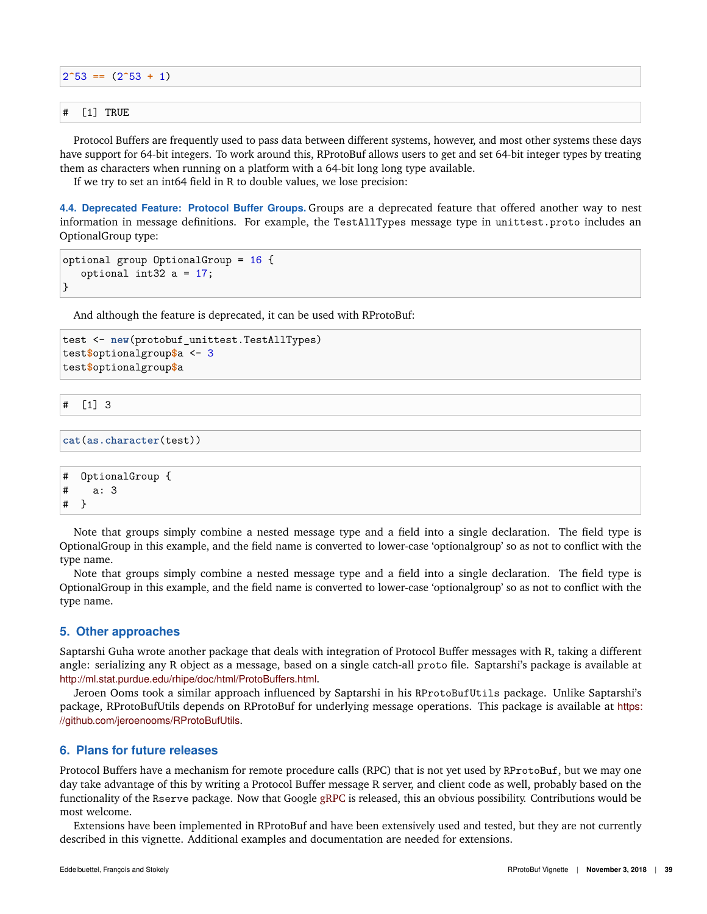| $ 2^{\circ}53 \rangle =  2^{\circ}53 + 1\rangle$ |  |  |  |  |
|--------------------------------------------------|--|--|--|--|
|                                                  |  |  |  |  |
| $\#$ [1] TRUE                                    |  |  |  |  |

Protocol Buffers are frequently used to pass data between different systems, however, and most other systems these days have support for 64-bit integers. To work around this, RProtoBuf allows users to get and set 64-bit integer types by treating them as characters when running on a platform with a 64-bit long long type available.

If we try to set an int64 field in R to double values, we lose precision:

<span id="page-38-0"></span>**4.4. Deprecated Feature: Protocol Buffer Groups.** Groups are a deprecated feature that offered another way to nest information in message definitions. For example, the TestAllTypes message type in unittest.proto includes an OptionalGroup type:

```
optional group OptionalGroup = 16 {
   optional int32 a = 17;
}
```
And although the feature is deprecated, it can be used with RProtoBuf:

```
test <- new(protobuf_unittest.TestAllTypes)
test$optionalgroup$a <- 3
test$optionalgroup$a
```

```
# [1] 3
```

```
cat(as.character(test))
```

```
# OptionalGroup {
# a: 3
# }
```
Note that groups simply combine a nested message type and a field into a single declaration. The field type is OptionalGroup in this example, and the field name is converted to lower-case 'optionalgroup' so as not to conflict with the type name.

Note that groups simply combine a nested message type and a field into a single declaration. The field type is OptionalGroup in this example, and the field name is converted to lower-case 'optionalgroup' so as not to conflict with the type name.

# <span id="page-38-1"></span>**5. Other approaches**

Saptarshi Guha wrote another package that deals with integration of Protocol Buffer messages with R, taking a different angle: serializing any R object as a message, based on a single catch-all proto file. Saptarshi's package is available at <http://ml.stat.purdue.edu/rhipe/doc/html/ProtoBuffers.html>.

Jeroen Ooms took a similar approach influenced by Saptarshi in his RProtoBufUtils package. Unlike Saptarshi's package, RProtoBufUtils depends on RProtoBuf for underlying message operations. This package is available at [https:](https://github.com/jeroenooms/RProtoBufUtils) [//github.com/jeroenooms/RProtoBufUtils](https://github.com/jeroenooms/RProtoBufUtils).

# <span id="page-38-2"></span>**6. Plans for future releases**

Protocol Buffers have a mechanism for remote procedure calls (RPC) that is not yet used by RProtoBuf, but we may one day take advantage of this by writing a Protocol Buffer message R server, and client code as well, probably based on the functionality of the Rserve package. Now that Google [gRPC](https://grpc.io/) is released, this an obvious possibility. Contributions would be most welcome.

<span id="page-38-3"></span>Extensions have been implemented in RProtoBuf and have been extensively used and tested, but they are not currently described in this vignette. Additional examples and documentation are needed for extensions.